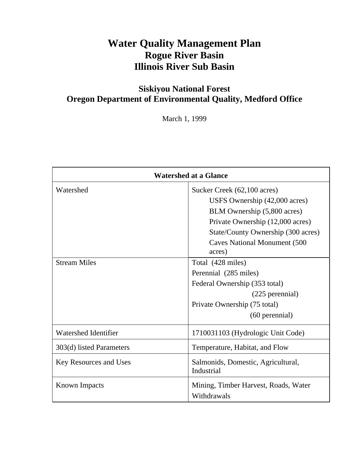# **Water Quality Management Plan Rogue River Basin Illinois River Sub Basin**

# **Siskiyou National Forest Oregon Department of Environmental Quality, Medford Office**

March 1, 1999

| <b>Watershed at a Glance</b> |                                                     |  |  |  |
|------------------------------|-----------------------------------------------------|--|--|--|
| Watershed                    | Sucker Creek (62,100 acres)                         |  |  |  |
|                              | USFS Ownership (42,000 acres)                       |  |  |  |
|                              | BLM Ownership (5,800 acres)                         |  |  |  |
|                              | Private Ownership (12,000 acres)                    |  |  |  |
|                              | State/County Ownership (300 acres)                  |  |  |  |
|                              | <b>Caves National Monument (500)</b><br>acres)      |  |  |  |
| <b>Stream Miles</b>          | Total (428 miles)                                   |  |  |  |
|                              | Perennial (285 miles)                               |  |  |  |
|                              | Federal Ownership (353 total)                       |  |  |  |
|                              | $(225)$ perennial)                                  |  |  |  |
|                              | Private Ownership (75 total)                        |  |  |  |
|                              | (60 perennial)                                      |  |  |  |
| <b>Watershed Identifier</b>  | 1710031103 (Hydrologic Unit Code)                   |  |  |  |
| 303(d) listed Parameters     | Temperature, Habitat, and Flow                      |  |  |  |
| Key Resources and Uses       | Salmonids, Domestic, Agricultural,<br>Industrial    |  |  |  |
| <b>Known Impacts</b>         | Mining, Timber Harvest, Roads, Water<br>Withdrawals |  |  |  |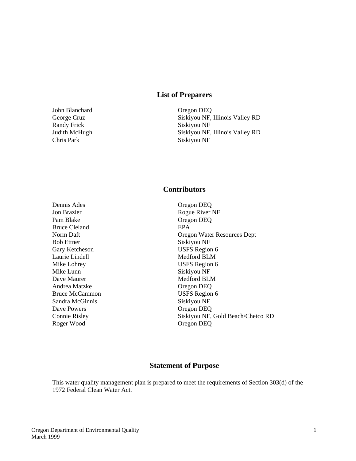## **List of Preparers**

John Blanchard Oregon DEQ Randy Frick Siskiyou NF Chris Park Siskiyou NF

George Cruz Siskiyou NF, Illinois Valley RD Judith McHugh Siskiyou NF, Illinois Valley RD

# **Contributors**

Dennis Ades Oregon DEQ Jon Brazier Rogue River NF Pam Blake Oregon DEQ Bruce Cleland EPA Bob Ettner Siskiyou NF Gary Ketcheson USFS Region 6 Laurie Lindell Medford BLM Mike Lohrey USFS Region 6 Mike Lunn Siskiyou NF Dave Maurer Medford BLM Andrea Matzke Oregon DEQ Bruce McCammon USFS Region 6 Sandra McGinnis Siskiyou NF Dave Powers Oregon DEQ Roger Wood Oregon DEQ

Norm Daft **Oregon Water Resources Dept** Connie Risley Siskiyou NF, Gold Beach/Chetco RD

#### **Statement of Purpose**

This water quality management plan is prepared to meet the requirements of Section 303(d) of the 1972 Federal Clean Water Act.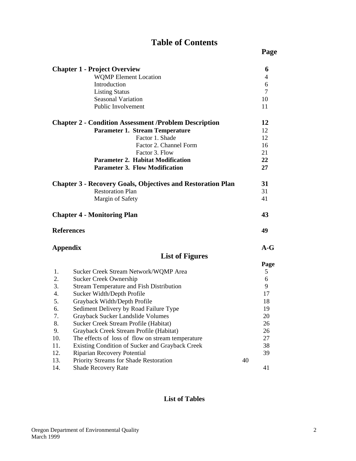# **Table of Contents**

|          | <b>Chapter 1 - Project Overview</b>                                |    | 6              |
|----------|--------------------------------------------------------------------|----|----------------|
|          | <b>WQMP</b> Element Location                                       |    | 4              |
|          | Introduction                                                       |    | 6              |
|          | <b>Listing Status</b>                                              |    | $\overline{7}$ |
|          | <b>Seasonal Variation</b>                                          |    | 10             |
|          | Public Involvement                                                 |    | 11             |
|          |                                                                    |    |                |
|          | <b>Chapter 2 - Condition Assessment /Problem Description</b>       |    | 12             |
|          | <b>Parameter 1. Stream Temperature</b>                             |    | 12             |
|          | Factor 1. Shade                                                    |    | 12             |
|          | Factor 2. Channel Form                                             |    | 16             |
|          | Factor 3. Flow                                                     |    | 21             |
|          | <b>Parameter 2. Habitat Modification</b>                           |    | 22             |
|          | <b>Parameter 3. Flow Modification</b>                              |    | 27             |
|          | <b>Chapter 3 - Recovery Goals, Objectives and Restoration Plan</b> |    | 31             |
|          | <b>Restoration Plan</b>                                            |    | 31             |
|          | Margin of Safety                                                   |    | 41             |
|          |                                                                    |    |                |
|          | <b>Chapter 4 - Monitoring Plan</b>                                 |    | 43             |
|          | <b>References</b>                                                  |    | 49             |
|          |                                                                    |    | $A-G$          |
| Appendix |                                                                    |    |                |
|          | <b>List of Figures</b>                                             |    |                |
|          |                                                                    |    | Page           |
| 1.       | Sucker Creek Stream Network/WQMP Area                              |    | 5              |
| 2.       | Sucker Creek Ownership                                             |    | 6              |
| 3.       | <b>Stream Temperature and Fish Distribution</b>                    |    | 9              |
| 4.       | Sucker Width/Depth Profile                                         |    | 17             |
| 5.       | Grayback Width/Depth Profile                                       |    | 18             |
| 6.       | Sediment Delivery by Road Failure Type                             |    | 19             |
| 7.       | Grayback Sucker Landslide Volumes                                  |    | 20             |
| 8.       | Sucker Creek Stream Profile (Habitat)                              |    | 26             |
| 9.       | Grayback Creek Stream Profile (Habitat)                            |    | 26             |
| 10.      | The effects of loss of flow on stream temperature                  |    | 27             |
| 11.      | Existing Condition of Sucker and Grayback Creek                    |    | 38             |
| 12.      | Riparian Recovery Potential                                        |    | 39             |
| 13.      | Priority Streams for Shade Restoration                             | 40 |                |
| 14.      | <b>Shade Recovery Rate</b>                                         |    | 41             |

# **List of Tables**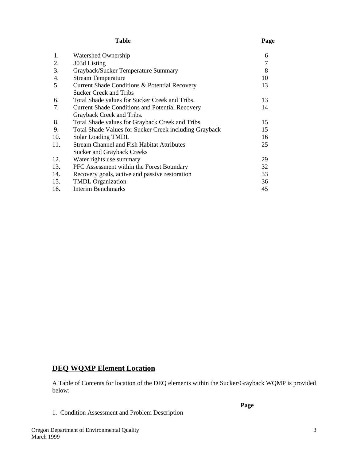#### **Table** Page

| 1.  | Watershed Ownership                                    | 6  |
|-----|--------------------------------------------------------|----|
| 2.  | 303d Listing                                           | 7  |
| 3.  | Grayback/Sucker Temperature Summary                    | 8  |
| 4.  | <b>Stream Temperature</b>                              | 10 |
| 5.  | Current Shade Conditions & Potential Recovery          | 13 |
|     | Sucker Creek and Tribs                                 |    |
| 6.  | Total Shade values for Sucker Creek and Tribs.         | 13 |
| 7.  | <b>Current Shade Conditions and Potential Recovery</b> | 14 |
|     | Grayback Creek and Tribs.                              |    |
| 8.  | Total Shade values for Grayback Creek and Tribs.       | 15 |
| 9.  | Total Shade Values for Sucker Creek including Grayback | 15 |
| 10. | Solar Loading TMDL                                     | 16 |
| 11. | <b>Stream Channel and Fish Habitat Attributes</b>      | 25 |
|     | <b>Sucker and Grayback Creeks</b>                      |    |
| 12. | Water rights use summary                               | 29 |
| 13. | PFC Assessment within the Forest Boundary              | 32 |
| 14. | Recovery goals, active and passive restoration         | 33 |
| 15. | <b>TMDL</b> Organization                               | 36 |
| 16. | Interim Benchmarks                                     | 45 |

# **DEQ WQMP Element Location**

A Table of Contents for location of the DEQ elements within the Sucker/Grayback WQMP is provided below:

1. Condition Assessment and Problem Description

**Page**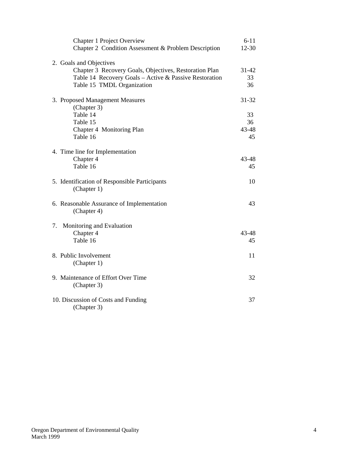| <b>Chapter 1 Project Overview</b>                      | $6 - 11$  |
|--------------------------------------------------------|-----------|
| Chapter 2 Condition Assessment & Problem Description   | $12 - 30$ |
| 2. Goals and Objectives                                |           |
| Chapter 3 Recovery Goals, Objectives, Restoration Plan | $31 - 42$ |
| Table 14 Recovery Goals - Active & Passive Restoration | 33        |
| Table 15 TMDL Organization                             | 36        |
| 3. Proposed Management Measures                        | 31-32     |
| (Chapter 3)                                            |           |
| Table 14                                               | 33        |
| Table 15                                               | 36        |
| Chapter 4 Monitoring Plan                              | 43-48     |
| Table 16                                               | 45        |
| 4. Time line for Implementation                        |           |
| Chapter 4                                              | 43-48     |
| Table 16                                               | 45        |
| 5. Identification of Responsible Participants          | 10        |
| (Chapter 1)                                            |           |
|                                                        |           |
| 6. Reasonable Assurance of Implementation              | 43        |
| (Chapter 4)                                            |           |
| Monitoring and Evaluation<br>7.                        |           |
| Chapter 4                                              | 43-48     |
| Table 16                                               | 45        |
| 8. Public Involvement                                  | 11        |
| (Chapter 1)                                            |           |
|                                                        |           |
| 9. Maintenance of Effort Over Time<br>(Chapter 3)      | 32        |
|                                                        |           |
| 10. Discussion of Costs and Funding                    | 37        |
| (Chapter 3)                                            |           |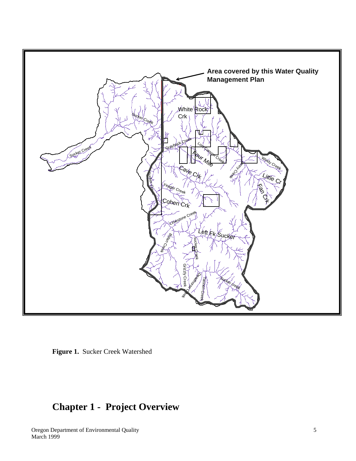

**Figure 1.** Sucker Creek Watershed

# **Chapter 1 - Project Overview**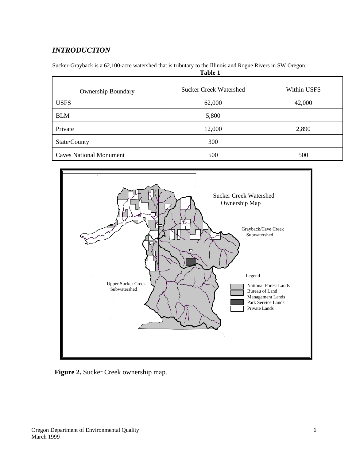# *INTRODUCTION*

Sucker-Grayback is a 62,100-acre watershed that is tributary to the Illinois and Rogue Rivers in SW Oregon.

| <b>Table 1</b>                 |                               |             |  |  |  |  |
|--------------------------------|-------------------------------|-------------|--|--|--|--|
| <b>Ownership Boundary</b>      | <b>Sucker Creek Watershed</b> | Within USFS |  |  |  |  |
| <b>USFS</b>                    | 62,000                        | 42,000      |  |  |  |  |
| <b>BLM</b>                     | 5,800                         |             |  |  |  |  |
| Private                        | 12,000                        | 2,890       |  |  |  |  |
| State/County                   | 300                           |             |  |  |  |  |
| <b>Caves National Monument</b> | 500                           | 500         |  |  |  |  |



**Figure 2.** Sucker Creek ownership map.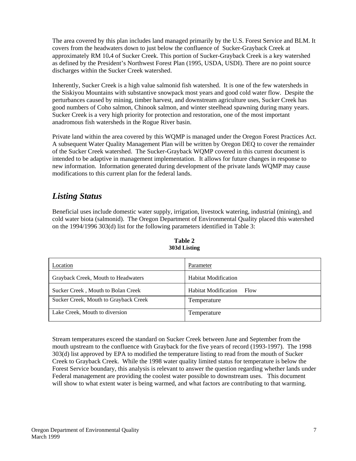The area covered by this plan includes land managed primarily by the U.S. Forest Service and BLM. It covers from the headwaters down to just below the confluence of Sucker-Grayback Creek at approximately RM 10**.**4 of Sucker Creek. This portion of Sucker-Grayback Creek is a key watershed as defined by the President's Northwest Forest Plan (1995, USDA, USDI). There are no point source discharges within the Sucker Creek watershed.

Inherently, Sucker Creek is a high value salmonid fish watershed. It is one of the few watersheds in the Siskiyou Mountains with substantive snowpack most years and good cold water flow. Despite the perturbances caused by mining, timber harvest, and downstream agriculture uses, Sucker Creek has good numbers of Coho salmon, Chinook salmon, and winter steelhead spawning during many years. Sucker Creek is a very high priority for protection and restoration, one of the most important anadromous fish watersheds in the Rogue River basin.

Private land within the area covered by this WQMP is managed under the Oregon Forest Practices Act. A subsequent Water Quality Management Plan will be written by Oregon DEQ to cover the remainder of the Sucker Creek watershed. The Sucker-Grayback WQMP covered in this current document is intended to be adaptive in management implementation. It allows for future changes in response to new information. Information generated during development of the private lands WQMP may cause modifications to this current plan for the federal lands.

# *Listing Status*

Beneficial uses include domestic water supply, irrigation, livestock watering, industrial (mining), and cold water biota (salmonid). The Oregon Department of Environmental Quality placed this watershed on the 1994/1996 303(d) list for the following parameters identified in Table 3:

| Location                              | Parameter                           |
|---------------------------------------|-------------------------------------|
| Grayback Creek, Mouth to Headwaters   | <b>Habitat Modification</b>         |
| Sucker Creek, Mouth to Bolan Creek    | <b>Habitat Modification</b><br>Flow |
| Sucker Creek, Mouth to Grayback Creek | Temperature                         |
| Lake Creek, Mouth to diversion        | Temperature                         |

**Table 2 303d Listing** 

Stream temperatures exceed the standard on Sucker Creek between June and September from the mouth upstream to the confluence with Grayback for the five years of record (1993-1997). The 1998 303(d) list approved by EPA to modified the temperature listing to read from the mouth of Sucker Creek to Grayback Creek. While the 1998 water quality limited status for temperature is below the Forest Service boundary, this analysis is relevant to answer the question regarding whether lands under Federal management are providing the coolest water possible to downstream uses. This document will show to what extent water is being warmed, and what factors are contributing to that warming.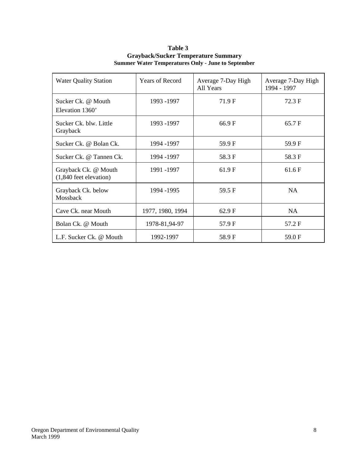| <b>Water Quality Station</b>                   | <b>Years of Record</b> | Average 7-Day High<br>All Years | Average 7-Day High<br>1994 - 1997 |  |
|------------------------------------------------|------------------------|---------------------------------|-----------------------------------|--|
| Sucker Ck. @ Mouth<br>Elevation 1360'          | 1993 -1997             | 71.9F                           | 72.3 F                            |  |
| Sucker Ck. blw. Little<br>Grayback             | 1993 -1997             | 66.9F                           | 65.7F                             |  |
| Sucker Ck. @ Bolan Ck.                         | 1994 - 1997            | 59.9 F                          | 59.9F                             |  |
| Sucker Ck. @ Tannen Ck.                        | 1994 -1997             | 58.3 F                          | 58.3 F                            |  |
| Grayback Ck. @ Mouth<br>(1,840 feet elevation) | 1991 -1997             | 61.9F                           | 61.6F                             |  |
| Grayback Ck. below<br>Mossback                 | 1994 -1995             | 59.5 F                          | <b>NA</b>                         |  |
| Cave Ck. near Mouth                            | 1977, 1980, 1994       | 62.9 F                          | <b>NA</b>                         |  |
| Bolan Ck. @ Mouth                              | 1978-81,94-97          | 57.9 F                          | 57.2 F                            |  |
| L.F. Sucker Ck. @ Mouth                        | 1992-1997              | 58.9F                           | 59.0 F                            |  |

#### **Table 3 Grayback/Sucker Temperature Summary Summer Water Temperatures Only - June to September**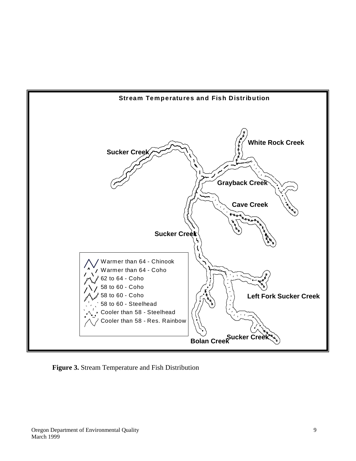

**Figure 3.** Stream Temperature and Fish Distribution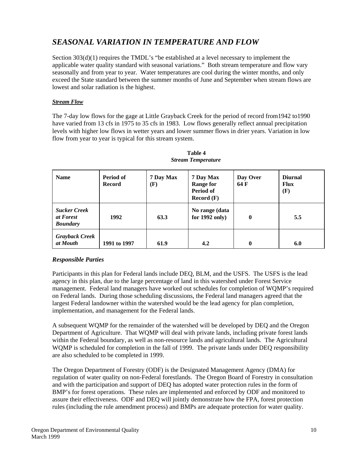# *SEASONAL VARIATION IN TEMPERATURE AND FLOW*

Section 303(d)(1) requires the TMDL's "be established at a level necessary to implement the applicable water quality standard with seasonal variations." Both stream temperature and flow vary seasonally and from year to year. Water temperatures are cool during the winter months, and only exceed the State standard between the summer months of June and September when stream flows are lowest and solar radiation is the highest.

#### *Stream Flow*

The 7-day low flows for the gage at Little Grayback Creek for the period of record from1942 to1990 have varied from 13 cfs in 1975 to 35 cfs in 1983. Low flows generally reflect annual precipitation levels with higher low flows in wetter years and lower summer flows in drier years. Variation in low flow from year to year is typical for this stream system.

| <b>Name</b>                                         | <b>Period of</b><br><b>Record</b> | 7 Day Max<br>(F) | 7 Day Max<br><b>Range for</b><br>Period of<br>Record $(F)$ | Day Over<br>64 F | <b>Diurnal</b><br><b>Flux</b><br>(F) |
|-----------------------------------------------------|-----------------------------------|------------------|------------------------------------------------------------|------------------|--------------------------------------|
| <b>Sucker Creek</b><br>at Forest<br><b>Boundary</b> | 1992                              | 63.3             | No range (data<br>for $1992$ only)                         | $\bf{0}$         | 5.5                                  |
| <b>Grayback Creek</b><br>at Mouth                   | 1991 to 1997                      | 61.9             | 4.2                                                        | $\bf{0}$         | 6.0                                  |

#### *Table 4* **Table 4**  *Stream Temperature*

#### *Responsible Parties*

Participants in this plan for Federal lands include DEQ, BLM, and the USFS. The USFS is the lead agency in this plan, due to the large percentage of land in this watershed under Forest Service management. Federal land managers have worked out schedules for completion of WQMP's required on Federal lands. During those scheduling discussions, the Federal land managers agreed that the largest Federal landowner within the watershed would be the lead agency for plan completion, implementation, and management for the Federal lands.

A subsequent WQMP for the remainder of the watershed will be developed by DEQ and the Oregon Department of Agriculture. That WQMP will deal with private lands, including private forest lands within the Federal boundary, as well as non-resource lands and agricultural lands. The Agricultural WQMP is scheduled for completion in the fall of 1999. The private lands under DEQ responsibility are also scheduled to be completed in 1999.

The Oregon Department of Forestry (ODF) is the Designated Management Agency (DMA) for regulation of water quality on non-Federal forestlands. The Oregon Board of Forestry in consultation and with the participation and support of DEQ has adopted water protection rules in the form of BMP's for forest operations. These rules are implemented and enforced by ODF and monitored to assure their effectiveness. ODF and DEQ will jointly demonstrate how the FPA, forest protection rules (including the rule amendment process) and BMPs are adequate protection for water quality.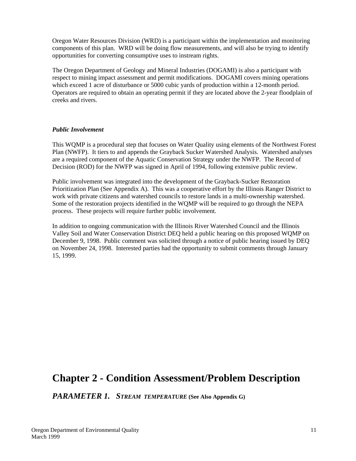Oregon Water Resources Division (WRD) is a participant within the implementation and monitoring components of this plan. WRD will be doing flow measurements, and will also be trying to identify opportunities for converting consumptive uses to instream rights.

The Oregon Department of Geology and Mineral Industries (DOGAMI) is also a participant with respect to mining impact assessment and permit modifications. DOGAMI covers mining operations which exceed 1 acre of disturbance or 5000 cubic yards of production within a 12-month period. Operators are required to obtain an operating permit if they are located above the 2-year floodplain of creeks and rivers.

#### *Public Involvement*

This WQMP is a procedural step that focuses on Water Quality using elements of the Northwest Forest Plan (NWFP). It tiers to and appends the Grayback Sucker Watershed Analysis. Watershed analyses are a required component of the Aquatic Conservation Strategy under the NWFP. The Record of Decision (ROD) for the NWFP was signed in April of 1994, following extensive public review.

Public involvement was integrated into the development of the Grayback-Sucker Restoration Prioritization Plan (See Appendix A). This was a cooperative effort by the Illinois Ranger District to work with private citizens and watershed councils to restore lands in a multi-ownership watershed. Some of the restoration projects identified in the WQMP will be required to go through the NEPA process. These projects will require further public involvement.

In addition to ongoing communication with the Illinois River Watershed Council and the Illinois Valley Soil and Water Conservation District DEQ held a public hearing on this proposed WQMP on December 9, 1998. Public comment was solicited through a notice of public hearing issued by DEQ on November 24, 1998. Interested parties had the opportunity to submit comments through January 15, 1999.

# **Chapter 2 - Condition Assessment/Problem Description**

*PARAMETER 1. STREAM TEMPERATURE* **(See Also Appendix G)**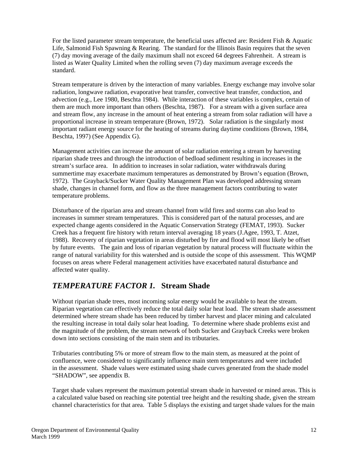For the listed parameter stream temperature, the beneficial uses affected are: Resident Fish & Aquatic Life, Salmonid Fish Spawning & Rearing. The standard for the Illinois Basin requires that the seven (7) day moving average of the daily maximum shall not exceed 64 degrees Fahrenheit. A stream is listed as Water Quality Limited when the rolling seven (7) day maximum average exceeds the standard.

Stream temperature is driven by the interaction of many variables. Energy exchange may involve solar radiation, longwave radiation, evaporative heat transfer, convective heat transfer, conduction, and advection (e.g., Lee 1980, Beschta 1984). While interaction of these variables is complex, certain of them are much more important than others (Beschta, 1987). For a stream with a given surface area and stream flow, any increase in the amount of heat entering a stream from solar radiation will have a proportional increase in stream temperature (Brown, 1972). Solar radiation is the singularly most important radiant energy source for the heating of streams during daytime conditions (Brown, 1984, Beschta, 1997) (See Appendix G).

Management activities can increase the amount of solar radiation entering a stream by harvesting riparian shade trees and through the introduction of bedload sediment resulting in increases in the stream's surface area. In addition to increases in solar radiation, water withdrawals during summertime may exacerbate maximum temperatures as demonstrated by Brown's equation (Brown, 1972). The Grayback/Sucker Water Quality Management Plan was developed addressing stream shade, changes in channel form, and flow as the three management factors contributing to water temperature problems.

Disturbance of the riparian area and stream channel from wild fires and storms can also lead to increases in summer stream temperatures. This is considered part of the natural processes, and are expected change agents considered in the Aquatic Conservation Strategy (FEMAT, 1993). Sucker Creek has a frequent fire history with return interval averaging 18 years (J.Agee, 1993, T. Atzet, 1988). Recovery of riparian vegetation in areas disturbed by fire and flood will most likely be offset by future events. The gain and loss of riparian vegetation by natural process will fluctuate within the range of natural variability for this watershed and is outside the scope of this assessment. This WQMP focuses on areas where Federal management activities have exacerbated natural disturbance and affected water quality.

# *TEMPERATURE FACTOR 1.* **Stream Shade**

Without riparian shade trees, most incoming solar energy would be available to heat the stream. Riparian vegetation can effectively reduce the total daily solar heat load. The stream shade assessment determined where stream shade has been reduced by timber harvest and placer mining and calculated the resulting increase in total daily solar heat loading. To determine where shade problems exist and the magnitude of the problem, the stream network of both Sucker and Grayback Creeks were broken down into sections consisting of the main stem and its tributaries.

Tributaries contributing 5% or more of stream flow to the main stem, as measured at the point of confluence, were considered to significantly influence main stem temperatures and were included in the assessment. Shade values were estimated using shade curves generated from the shade model "SHADOW", see appendix B.

Target shade values represent the maximum potential stream shade in harvested or mined areas. This is a calculated value based on reaching site potential tree height and the resulting shade, given the stream channel characteristics for that area. Table 5 displays the existing and target shade values for the main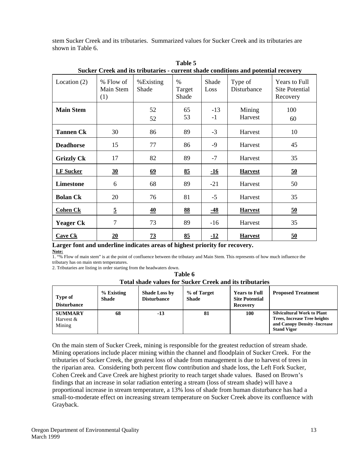stem Sucker Creek and its tributaries. Summarized values for Sucker Creek and its tributaries are shown in Table 6.

| Sucker Creek and its tributaries - current shaue conditions and potential recovery |                               |                    |                         |               |                        |                                             |
|------------------------------------------------------------------------------------|-------------------------------|--------------------|-------------------------|---------------|------------------------|---------------------------------------------|
| Location $(2)$                                                                     | % Flow of<br>Main Stem<br>(1) | %Existing<br>Shade | $\%$<br>Target<br>Shade | Shade<br>Loss | Type of<br>Disturbance | Years to Full<br>Site Potential<br>Recovery |
| <b>Main Stem</b>                                                                   |                               | 52<br>52           | 65<br>53                | $-13$<br>$-1$ | Mining<br>Harvest      | 100<br>60                                   |
| <b>Tannen Ck</b>                                                                   | 30                            | 86                 | 89                      | $-3$          | Harvest                | 10                                          |
| <b>Deadhorse</b>                                                                   | 15                            | 77                 | 86                      | $-9$          | Harvest                | 45                                          |
| <b>Grizzly Ck</b>                                                                  | 17                            | 82                 | 89                      | $-7$          | Harvest                | 35                                          |
| <b>LF Sucker</b>                                                                   | 30                            | 69                 | 85                      | <u>-16</u>    | <b>Harvest</b>         | 50                                          |
| <b>Limestone</b>                                                                   | 6                             | 68                 | 89                      | $-21$         | Harvest                | 50                                          |
| <b>Bolan Ck</b>                                                                    | 20                            | 76                 | 81                      | $-5$          | Harvest                | 35                                          |
| <b>Cohen Ck</b>                                                                    | $\overline{5}$                | $\underline{40}$   | 88                      | <u>-48</u>    | <b>Harvest</b>         | 50                                          |
| <b>Yeager Ck</b>                                                                   | $\overline{7}$                | 73                 | 89                      | $-16$         | Harvest                | 35                                          |
| <b>Cave Ck</b>                                                                     | 20                            | 73                 | 85                      | $-12$         | <b>Harvest</b>         | 50                                          |

**Table 5**<br>**Sucker Creek and its tributaries - current sl Sucker Creek and its tributaries - current shade conditions and potential recovery**

**Larger font and underline indicates areas of highest priority for recovery. Note:**

 $1.$  "% Flow of main stem" is at the point of confluence between the tributary and Main Stem. This represents of how much influence the tributary has on main stem temperatures.

2. Tributaries are listing in order starting from the headwaters down.

| Table 6                                                        |  |
|----------------------------------------------------------------|--|
| <b>Total shade values for Sucker Creek and its tributaries</b> |  |
|                                                                |  |

| Type of<br><b>Disturbance</b>         | $\%$ Existing<br>Shade | <b>Shade Loss by</b><br><b>Disturbance</b> | % of Target<br><b>Shade</b> | <b>Years to Full</b><br><b>Site Potential</b><br><b>Recovery</b> | <b>Proposed Treatment</b>                                                                                                        |
|---------------------------------------|------------------------|--------------------------------------------|-----------------------------|------------------------------------------------------------------|----------------------------------------------------------------------------------------------------------------------------------|
| <b>SUMMARY</b><br>Harvest &<br>Mining | 68                     | -13                                        | 81                          | 100                                                              | <b>Silvicultural Work to Plant</b><br><b>Trees, Increase Tree heights</b><br>and Canopy Density - Increase<br><b>Stand Vigor</b> |

On the main stem of Sucker Creek, mining is responsible for the greatest reduction of stream shade. Mining operations include placer mining within the channel and floodplain of Sucker Creek. For the tributaries of Sucker Creek, the greatest loss of shade from management is due to harvest of trees in the riparian area. Considering both percent flow contribution and shade loss, the Left Fork Sucker, Cohen Creek and Cave Creek are highest priority to reach target shade values. Based on Brown's findings that an increase in solar radiation entering a stream (loss of stream shade) will have a proportional increase in stream temperature, a 13% loss of shade from human disturbance has had a small-to-moderate effect on increasing stream temperature on Sucker Creek above its confluence with Grayback.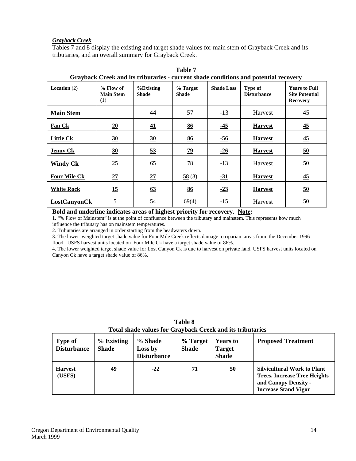#### *Grayback Creek*

Tables 7 and 8 display the existing and target shade values for main stem of Grayback Creek and its tributaries, and an overall summary for Grayback Creek.

| Orayouch Oreen and no trioumres - carrent shaue conditions and potential recovery |                                      |                              |                          |                   |                               |                                                                  |
|-----------------------------------------------------------------------------------|--------------------------------------|------------------------------|--------------------------|-------------------|-------------------------------|------------------------------------------------------------------|
| <b>Location</b> $(2)$                                                             | % Flow of<br><b>Main Stem</b><br>(1) | $%$ Existing<br><b>Shade</b> | % Target<br><b>Shade</b> | <b>Shade Loss</b> | Type of<br><b>Disturbance</b> | <b>Years to Full</b><br><b>Site Potential</b><br><b>Recovery</b> |
| <b>Main Stem</b>                                                                  |                                      | 44                           | 57                       | $-13$             | Harvest                       | 45                                                               |
| Fan Ck                                                                            | 20                                   | $\overline{41}$              | 86                       | $-45$             | <b>Harvest</b>                | $\overline{45}$                                                  |
| <b>Little Ck</b>                                                                  | $\underline{30}$                     | 30                           | 86                       | $-56$             | <b>Harvest</b>                | $\overline{45}$                                                  |
| <b>Jenny Ck</b>                                                                   | 30                                   | 53                           | <u>79</u>                | $-26$             | <b>Harvest</b>                | 50                                                               |
| <b>Windy Ck</b>                                                                   | 25                                   | 65                           | 78                       | $-13$             | Harvest                       | 50                                                               |
| <b>Four Mile Ck</b>                                                               | 27                                   | 27                           | 58(3)                    | $-31$             | <b>Harvest</b>                | $\overline{45}$                                                  |
| <b>White Rock</b>                                                                 | <u>15</u>                            | 63                           | 86                       | $-23$             | <b>Harvest</b>                | 50                                                               |
| LostCanyonCk                                                                      | 5                                    | 54                           | 69(4)                    | $-15$             | Harvest                       | 50                                                               |

 **Table 7 Grayback Creek and its tributaries - current shade conditions and potential recovery**

#### **Bold and underline indicates areas of highest priority for recovery. Note:**

1. "% Flow of Mainstem" is at the point of confluence between the tributary and mainstem. This represents how much influence the tributary has on mainstem temperatures.

2. Tributaries are arranged in order starting from the headwaters down.

3. The lower weighted target shade value for Four Mile Creek reflects damage to riparian areas from the December 1996 flood. USFS harvest units located on Four Mile Ck have a target shade value of 86%.

4. The lower weighted target shade value for Lost Canyon Ck is due to harvest on private land. USFS harvest units located on Canyon Ck have a target shade value of 86%.

| <b>Type of</b><br><b>Disturbance</b> | % Existing<br><b>Shade</b> | Total shade values for Gravback Creek and its tributaries<br>% Shade<br>Loss by<br><b>Disturbance</b> | % Target<br><b>Shade</b> | <b>Years to</b><br><b>Target</b><br><b>Shade</b> | <b>Proposed Treatment</b>                                                                                                        |
|--------------------------------------|----------------------------|-------------------------------------------------------------------------------------------------------|--------------------------|--------------------------------------------------|----------------------------------------------------------------------------------------------------------------------------------|
| <b>Harvest</b><br>(USFS)             | 49                         | $-22$                                                                                                 | 71                       | 50                                               | <b>Silvicultural Work to Plant</b><br><b>Trees, Increase Tree Heights</b><br>and Canopy Density -<br><b>Increase Stand Vigor</b> |

**Table 8 Total shade values for Grayback Creek and its tributaries**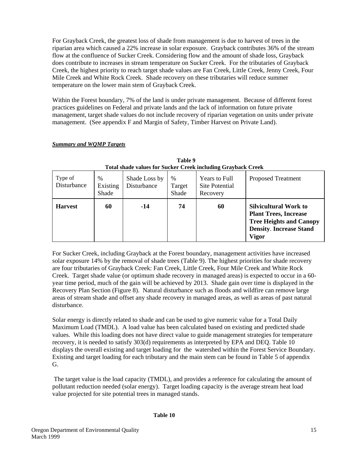For Grayback Creek, the greatest loss of shade from management is due to harvest of trees in the riparian area which caused a 22% increase in solar exposure. Grayback contributes 36% of the stream flow at the confluence of Sucker Creek. Considering flow and the amount of shade loss, Grayback does contribute to increases in stream temperature on Sucker Creek. For the tributaries of Grayback Creek, the highest priority to reach target shade values are Fan Creek, Little Creek, Jenny Creek, Four Mile Creek and White Rock Creek. Shade recovery on these tributaries will reduce summer temperature on the lower main stem of Grayback Creek.

Within the Forest boundary, 7% of the land is under private management. Because of different forest practices guidelines on Federal and private lands and the lack of information on future private management, target shade values do not include recovery of riparian vegetation on units under private management. (See appendix F and Margin of Safety, Timber Harvest on Private Land).

|                        | <b>Total shade values for Sucker Creek including Grayback Creek</b> |                              |                                  |                                                    |                                                                                                                                                  |  |
|------------------------|---------------------------------------------------------------------|------------------------------|----------------------------------|----------------------------------------------------|--------------------------------------------------------------------------------------------------------------------------------------------------|--|
| Type of<br>Disturbance | $\%$<br>Existing<br>Shade                                           | Shade Loss by<br>Disturbance | $\frac{0}{0}$<br>Target<br>Shade | <b>Years to Full</b><br>Site Potential<br>Recovery | <b>Proposed Treatment</b>                                                                                                                        |  |
| <b>Harvest</b>         | 60                                                                  | $-14$                        | 74                               | 60                                                 | <b>Silvicultural Work to</b><br><b>Plant Trees, Increase</b><br><b>Tree Heights and Canopy</b><br><b>Density. Increase Stand</b><br><b>Vigor</b> |  |

 **Table 9** 

#### *Summary and WQMP Targets*

For Sucker Creek, including Grayback at the Forest boundary, management activities have increased solar exposure 14% by the removal of shade trees (Table 9). The highest priorities for shade recovery are four tributaries of Grayback Creek: Fan Creek, Little Creek, Four Mile Creek and White Rock Creek. Target shade value (or optimum shade recovery in managed areas) is expected to occur in a 60 year time period, much of the gain will be achieved by 2013. Shade gain over time is displayed in the Recovery Plan Section (Figure 8). Natural disturbance such as floods and wildfire can remove large areas of stream shade and offset any shade recovery in managed areas, as well as areas of past natural disturbance.

Solar energy is directly related to shade and can be used to give numeric value for a Total Daily Maximum Load (TMDL). A load value has been calculated based on existing and predicted shade values. While this loading does not have direct value to guide management strategies for temperature recovery, it is needed to satisfy 303(d) requirements as interpreted by EPA and DEQ. Table 10 displays the overall existing and target loading for the watershed within the Forest Service Boundary. Existing and target loading for each tributary and the main stem can be found in Table 5 of appendix G.

 The target value is the load capacity (TMDL), and provides a reference for calculating the amount of pollutant reduction needed (solar energy).Target loading capacity is the average stream heat load value projected for site potential trees in managed stands.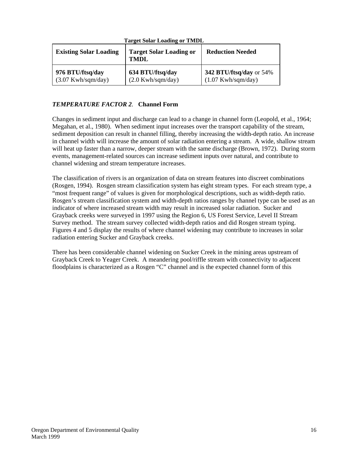| <b>Existing Solar Loading</b> | <b>Target Solar Loading or</b><br><b>TMDL</b> | <b>Reduction Needed</b>    |
|-------------------------------|-----------------------------------------------|----------------------------|
| 976 BTU/ftsq/day              | 634 BTU/ftsq/day                              | 342 BTU/ftsq/day or $54\%$ |
| $(3.07$ Kwh/sqm/day)          | $(2.0$ Kwh/sqm/day)                           | $(1.07$ Kwh/sqm/day)       |

 **Target Solar Loading or TMDL**

#### *TEMPERATURE FACTOR 2.* **Channel Form**

Changes in sediment input and discharge can lead to a change in channel form (Leopold, et al., 1964; Megahan, et al., 1980). When sediment input increases over the transport capability of the stream, sediment deposition can result in channel filling, thereby increasing the width-depth ratio. An increase in channel width will increase the amount of solar radiation entering a stream. A wide, shallow stream will heat up faster than a narrow, deeper stream with the same discharge (Brown, 1972). During storm events, management-related sources can increase sediment inputs over natural, and contribute to channel widening and stream temperature increases.

The classification of rivers is an organization of data on stream features into discreet combinations (Rosgen, 1994). Rosgen stream classification system has eight stream types. For each stream type, a "most frequent range" of values is given for morphological descriptions, such as width-depth ratio. Rosgen's stream classification system and width-depth ratios ranges by channel type can be used as an indicator of where increased stream width may result in increased solar radiation. Sucker and Grayback creeks were surveyed in 1997 using the Region 6, US Forest Service, Level II Stream Survey method. The stream survey collected width-depth ratios and did Rosgen stream typing. Figures 4 and 5 display the results of where channel widening may contribute to increases in solar radiation entering Sucker and Grayback creeks.

There has been considerable channel widening on Sucker Creek in the mining areas upstream of Grayback Creek to Yeager Creek. A meandering pool/riffle stream with connectivity to adjacent floodplains is characterized as a Rosgen "C" channel and is the expected channel form of this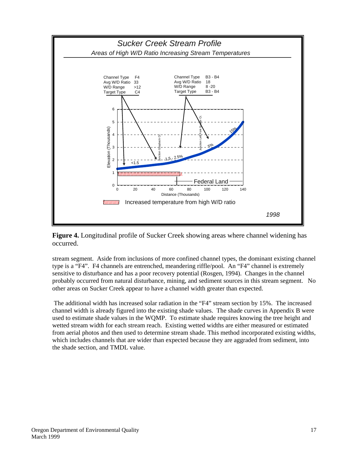

**Figure 4.** Longitudinal profile of Sucker Creek showing areas where channel widening has occurred.

stream segment. Aside from inclusions of more confined channel types, the dominant existing channel type is a "F4". F4 channels are entrenched, meandering riffle/pool. An "F4" channel is extremely sensitive to disturbance and has a poor recovery potential (Rosgen, 1994). Changes in the channel probably occurred from natural disturbance, mining, and sediment sources in this stream segment. No other areas on Sucker Creek appear to have a channel width greater than expected.

 The additional width has increased solar radiation in the "F4" stream section by 15%. The increased channel width is already figured into the existing shade values. The shade curves in Appendix B were used to estimate shade values in the WQMP. To estimate shade requires knowing the tree height and wetted stream width for each stream reach. Existing wetted widths are either measured or estimated from aerial photos and then used to determine stream shade. This method incorporated existing widths, which includes channels that are wider than expected because they are aggraded from sediment, into the shade section, and TMDL value.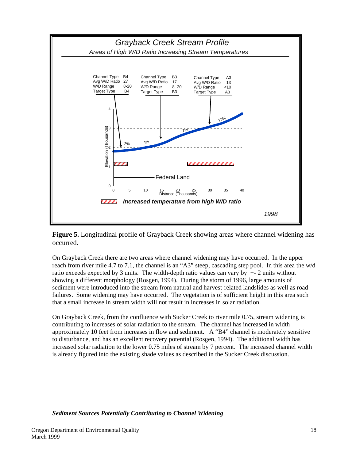

**Figure 5.** Longitudinal profile of Grayback Creek showing areas where channel widening has occurred.

On Grayback Creek there are two areas where channel widening may have occurred. In the upper reach from river mile 4.7 to 7.1, the channel is an "A3" steep, cascading step pool. In this area the w/d ratio exceeds expected by 3 units. The width-depth ratio values can vary by +- 2 units without showing a different morphology (Rosgen, 1994). During the storm of 1996, large amounts of sediment were introduced into the stream from natural and harvest-related landslides as well as road failures. Some widening may have occurred. The vegetation is of sufficient height in this area such that a small increase in stream width will not result in increases in solar radiation.

On Grayback Creek, from the confluence with Sucker Creek to river mile 0.75, stream widening is contributing to increases of solar radiation to the stream. The channel has increased in width approximately 10 feet from increases in flow and sediment. A "B4" channel is moderately sensitive to disturbance, and has an excellent recovery potential (Rosgen, 1994). The additional width has increased solar radiation to the lower 0.75 miles of stream by 7 percent. The increased channel width is already figured into the existing shade values as described in the Sucker Creek discussion.

#### *Sediment Sources Potentially Contributing to Channel Widening*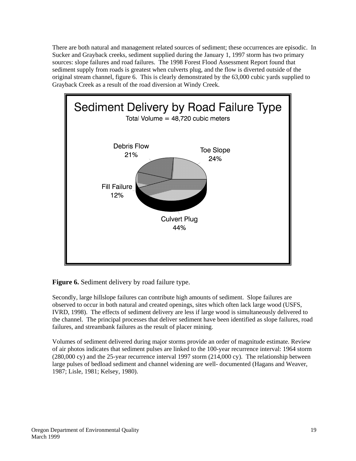There are both natural and management related sources of sediment; these occurrences are episodic. In Sucker and Grayback creeks, sediment supplied during the January 1, 1997 storm has two primary sources: slope failures and road failures. The 1998 Forest Flood Assessment Report found that sediment supply from roads is greatest when culverts plug, and the flow is diverted outside of the original stream channel, figure 6. This is clearly demonstrated by the 63,000 cubic yards supplied to Grayback Creek as a result of the road diversion at Windy Creek.



**Figure 6.** Sediment delivery by road failure type.

Secondly, large hillslope failures can contribute high amounts of sediment. Slope failures are observed to occur in both natural and created openings, sites which often lack large wood (USFS, IVRD, 1998). The effects of sediment delivery are less if large wood is simultaneously delivered to the channel. The principal processes that deliver sediment have been identified as slope failures, road failures, and streambank failures as the result of placer mining.

Volumes of sediment delivered during major storms provide an order of magnitude estimate. Review of air photos indicates that sediment pulses are linked to the 100-year recurrence interval: 1964 storm (280,000 cy) and the 25-year recurrence interval 1997 storm (214,000 cy). The relationship between large pulses of bedload sediment and channel widening are well- documented (Hagans and Weaver, 1987; Lisle, 1981; Kelsey, 1980).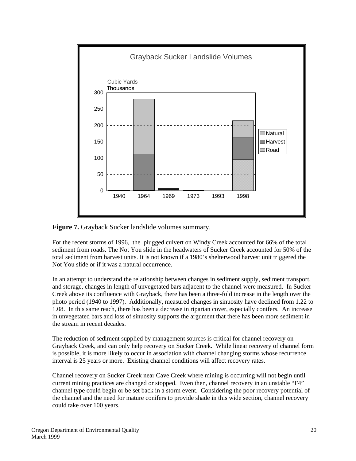



For the recent storms of 1996, the plugged culvert on Windy Creek accounted for 66% of the total sediment from roads. The Not You slide in the headwaters of Sucker Creek accounted for 50% of the total sediment from harvest units. It is not known if a 1980's shelterwood harvest unit triggered the Not You slide or if it was a natural occurrence.

In an attempt to understand the relationship between changes in sediment supply, sediment transport, and storage, changes in length of unvegetated bars adjacent to the channel were measured. In Sucker Creek above its confluence with Grayback, there has been a three-fold increase in the length over the photo period (1940 to 1997). Additionally, measured changes in sinuosity have declined from 1.22 to 1.08. In this same reach, there has been a decrease in riparian cover, especially conifers. An increase in unvegetated bars and loss of sinuosity supports the argument that there has been more sediment in the stream in recent decades.

The reduction of sediment supplied by management sources is critical for channel recovery on Grayback Creek, and can only help recovery on Sucker Creek. While linear recovery of channel form is possible, it is more likely to occur in association with channel changing storms whose recurrence interval is 25 years or more. Existing channel conditions will affect recovery rates.

Channel recovery on Sucker Creek near Cave Creek where mining is occurring will not begin until current mining practices are changed or stopped. Even then, channel recovery in an unstable "F4" channel type could begin or be set back in a storm event. Considering the poor recovery potential of the channel and the need for mature conifers to provide shade in this wide section, channel recovery could take over 100 years.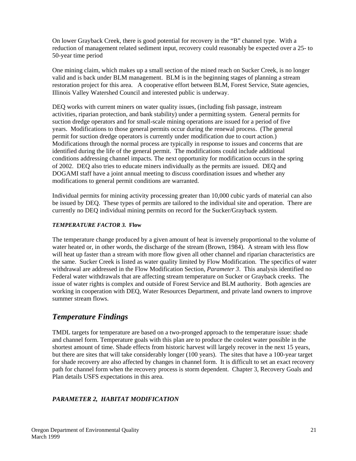On lower Grayback Creek, there is good potential for recovery in the "B" channel type. With a reduction of management related sediment input, recovery could reasonably be expected over a 25- to 50-year time period

One mining claim, which makes up a small section of the mined reach on Sucker Creek, is no longer valid and is back under BLM management. BLM is in the beginning stages of planning a stream restoration project for this area. A cooperative effort between BLM, Forest Service, State agencies, Illinois Valley Watershed Council and interested public is underway.

DEQ works with current miners on water quality issues, (including fish passage, instream activities, riparian protection, and bank stability) under a permitting system. General permits for suction dredge operators and for small-scale mining operations are issued for a period of five years. Modifications to those general permits occur during the renewal process. (The general permit for suction dredge operators is currently under modification due to court action.) Modifications through the normal process are typically in response to issues and concerns that are identified during the life of the general permit. The modifications could include additional conditions addressing channel impacts. The next opportunity for modification occurs in the spring of 2002. DEQ also tries to educate miners individually as the permits are issued. DEQ and DOGAMI staff have a joint annual meeting to discuss coordination issues and whether any modifications to general permit conditions are warranted.

Individual permits for mining activity processing greater than 10,000 cubic yards of material can also be issued by DEQ. These types of permits are tailored to the individual site and operation. There are currently no DEQ individual mining permits on record for the Sucker/Grayback system.

#### *TEMPERATURE FACTOR 3.* **Flow**

The temperature change produced by a given amount of heat is inversely proportional to the volume of water heated or, in other words, the discharge of the stream (Brown, 1984). A stream with less flow will heat up faster than a stream with more flow given all other channel and riparian characteristics are the same. Sucker Creek is listed as water quality limited by Flow Modification. The specifics of water withdrawal are addressed in the Flow Modification Section, *Parameter 3*. This analysis identified no Federal water withdrawals that are affecting stream temperature on Sucker or Grayback creeks. The issue of water rights is complex and outside of Forest Service and BLM authority. Both agencies are working in cooperation with DEQ, Water Resources Department, and private land owners to improve summer stream flows.

# *Temperature Findings*

TMDL targets for temperature are based on a two-pronged approach to the temperature issue: shade and channel form. Temperature goals with this plan are to produce the coolest water possible in the shortest amount of time. Shade effects from historic harvest will largely recover in the next 15 years, but there are sites that will take considerably longer (100 years). The sites that have a 100-year target for shade recovery are also affected by changes in channel form. It is difficult to set an exact recovery path for channel form when the recovery process is storm dependent. Chapter 3, Recovery Goals and Plan details USFS expectations in this area.

## *PARAMETER 2, HABITAT MODIFICATION*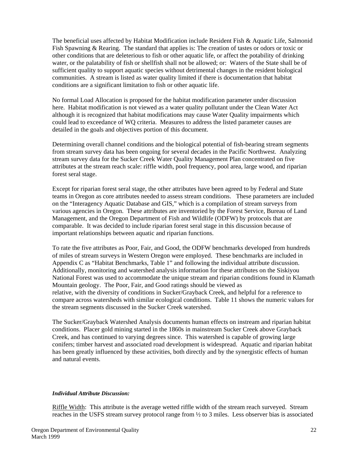The beneficial uses affected by Habitat Modification include Resident Fish & Aquatic Life, Salmonid Fish Spawning & Rearing. The standard that applies is: The creation of tastes or odors or toxic or other conditions that are deleterious to fish or other aquatic life, or affect the potability of drinking water, or the palatability of fish or shellfish shall not be allowed; or: Waters of the State shall be of sufficient quality to support aquatic species without detrimental changes in the resident biological communities. A stream is listed as water quality limited if there is documentation that habitat conditions are a significant limitation to fish or other aquatic life.

No formal Load Allocation is proposed for the habitat modification parameter under discussion here. Habitat modification is not viewed as a water quality pollutant under the Clean Water Act although it is recognized that habitat modifications may cause Water Quality impairments which could lead to exceedance of WQ criteria. Measures to address the listed parameter causes are detailed in the goals and objectives portion of this document.

Determining overall channel conditions and the biological potential of fish-bearing stream segments from stream survey data has been ongoing for several decades in the Pacific Northwest. Analyzing stream survey data for the Sucker Creek Water Quality Management Plan concentrated on five attributes at the stream reach scale: riffle width, pool frequency, pool area, large wood, and riparian forest seral stage.

Except for riparian forest seral stage, the other attributes have been agreed to by Federal and State teams in Oregon as core attributes needed to assess stream conditions. These parameters are included on the "Interagency Aquatic Database and GIS," which is a compilation of stream surveys from various agencies in Oregon. These attributes are inventoried by the Forest Service, Bureau of Land Management, and the Oregon Department of Fish and Wildlife (ODFW) by protocols that are comparable. It was decided to include riparian forest seral stage in this discussion because of important relationships between aquatic and riparian functions.

To rate the five attributes as Poor, Fair, and Good, the ODFW benchmarks developed from hundreds of miles of stream surveys in Western Oregon were employed. These benchmarks are included in Appendix C as "Habitat Benchmarks, Table 1" and following the individual attribute discussion. Additionally, monitoring and watershed analysis information for these attributes on the Siskiyou National Forest was used to accommodate the unique stream and riparian conditions found in Klamath Mountain geology. The Poor, Fair, and Good ratings should be viewed as relative, with the diversity of conditions in Sucker/Grayback Creek, and helpful for a reference to compare across watersheds with similar ecological conditions. Table 11 shows the numeric values for the stream segments discussed in the Sucker Creek watershed.

The Sucker/Grayback Watershed Analysis documents human effects on instream and riparian habitat conditions. Placer gold mining started in the 1860s in mainstream Sucker Creek above Grayback Creek, and has continued to varying degrees since. This watershed is capable of growing large conifers; timber harvest and associated road development is widespread. Aquatic and riparian habitat has been greatly influenced by these activities, both directly and by the synergistic effects of human and natural events.

#### *Individual Attribute Discussion:*

Riffle Width: This attribute is the average wetted riffle width of the stream reach surveyed. Stream reaches in the USFS stream survey protocol range from ½ to 3 miles. Less observer bias is associated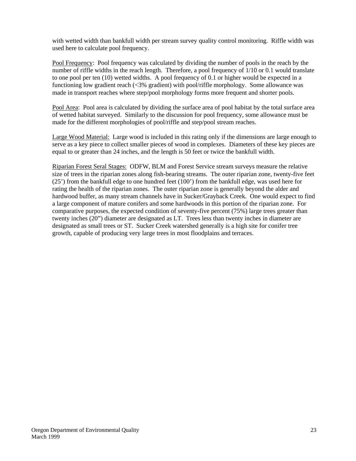with wetted width than bankfull width per stream survey quality control monitoring. Riffle width was used here to calculate pool frequency.

Pool Frequency: Pool frequency was calculated by dividing the number of pools in the reach by the number of riffle widths in the reach length. Therefore, a pool frequency of 1/10 or 0.1 would translate to one pool per ten (10) wetted widths. A pool frequency of 0.1 or higher would be expected in a functioning low gradient reach (<3% gradient) with pool/riffle morphology. Some allowance was made in transport reaches where step/pool morphology forms more frequent and shorter pools.

Pool Area: Pool area is calculated by dividing the surface area of pool habitat by the total surface area of wetted habitat surveyed. Similarly to the discussion for pool frequency, some allowance must be made for the different morphologies of pool/riffle and step/pool stream reaches.

Large Wood Material: Large wood is included in this rating only if the dimensions are large enough to serve as a key piece to collect smaller pieces of wood in complexes. Diameters of these key pieces are equal to or greater than 24 inches, and the length is 50 feet or twice the bankfull width.

Riparian Forest Seral Stages: ODFW, BLM and Forest Service stream surveys measure the relative size of trees in the riparian zones along fish-bearing streams. The outer riparian zone, twenty-five feet (25') from the bankfull edge to one hundred feet (100') from the bankfull edge, was used here for rating the health of the riparian zones. The outer riparian zone is generally beyond the alder and hardwood buffer, as many stream channels have in Sucker/Grayback Creek. One would expect to find a large component of mature conifers and some hardwoods in this portion of the riparian zone. For comparative purposes, the expected condition of seventy-five percent (75%) large trees greater than twenty inches (20") diameter are designated as LT. Trees less than twenty inches in diameter are designated as small trees or ST. Sucker Creek watershed generally is a high site for conifer tree growth, capable of producing very large trees in most floodplains and terraces.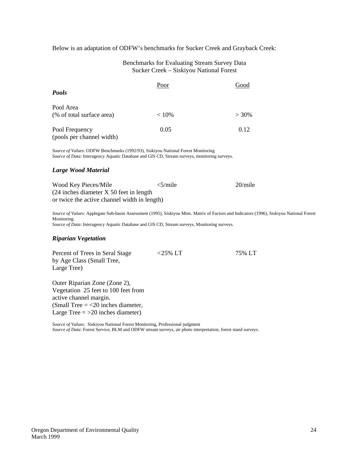Below is an adaptation of ODFW's benchmarks for Sucker Creek and Grayback Creek:

#### Benchmarks for Evaluating Stream Survey Data Sucker Creek – Siskiyou National Forest

| <b>Pools</b>                                | Poor     | Good     |
|---------------------------------------------|----------|----------|
| Pool Area<br>(% of total surface area)      | $< 10\%$ | $> 30\%$ |
| Pool Frequency<br>(pools per channel width) | 0.05     | 0.12     |

*Source of Values*: ODFW Benchmarks (1992/93), Siskiyou National Forest Monitoring *Source of Data*: Interagency Aquatic Database and GIS CD, Stream surveys, monitoring surveys.

#### *Large Wood Material*

| Wood Key Pieces/Mile                         | $\langle 5/m$ ile | 20/mile |
|----------------------------------------------|-------------------|---------|
| $(24$ inches diameter X 50 feet in length    |                   |         |
| or twice the active channel width in length) |                   |         |

*Source of Values*: Applegate Sub-basin Assessment (1995), Siskiyou Mtns. Matrix of Factors and Indicators (1996), Siskiyou National Forest Monitoring.

*Source of Data*: Interagency Aquatic Database and GIS CD, Stream surveys, Monitoring surveys.

#### *Riparian Vegetation*

| Percent of Trees in Seral Stage      | $<$ 25% LT | 75% LT |
|--------------------------------------|------------|--------|
| by Age Class (Small Tree,            |            |        |
| Large Tree)                          |            |        |
|                                      |            |        |
| Outer Rinarian $7$ one $(7$ one $2)$ |            |        |

Outer Riparian Zone (Zone 2), Vegetation 25 feet to 100 feet from active channel margin. (Small Tree  $=$  <20 inches diameter, Large Tree  $=$  >20 inches diameter)

*Source of Values:* Siskiyou National Forest Monitoring, Professional judgment *Source of Data*: Forest Service, BLM and ODFW stream surveys, air photo interpretation, forest stand surveys.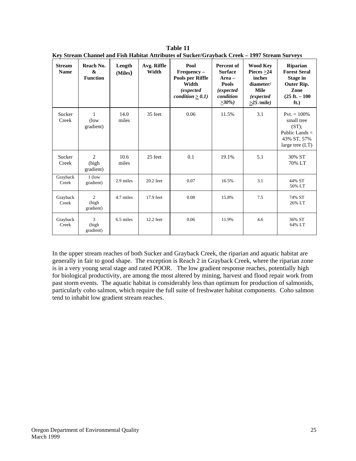| ixy bu cam channel and r isn mashal ixtifishees of bucker/Graysack Creek<br>$-1/7$ , bu cam but $\tau_{\rm{CO}}$ |                                   |                   |                      |                                                                                                          |                                                                                                              |                                                                                                                    |                                                                                                 |
|------------------------------------------------------------------------------------------------------------------|-----------------------------------|-------------------|----------------------|----------------------------------------------------------------------------------------------------------|--------------------------------------------------------------------------------------------------------------|--------------------------------------------------------------------------------------------------------------------|-------------------------------------------------------------------------------------------------|
| <b>Stream</b><br><b>Name</b>                                                                                     | Reach No.<br>&<br><b>Function</b> | Length<br>(Miles) | Avg. Riffle<br>Width | Pool<br>$Frequency -$<br>Pools per Riffle<br>Width<br><i>(expected)</i><br><i>condition</i> $\geq 0.1$ ) | <b>Percent of</b><br><b>Surface</b><br>Area –<br><b>Pools</b><br><i>(expected)</i><br>condition<br>$>30\%$ ) | <b>Wood Key</b><br>Pieces $\geq$ 24<br>inches<br>diameter/<br><b>Mile</b><br><i>(expected)</i><br>$\geq$ 25 /mile) | Riparian<br><b>Forest Seral</b><br>Stage in<br>Outer Rip.<br>Zone<br>$(25 ft. - 100)$<br>ft.)   |
| Sucker<br>Creek                                                                                                  | 1<br>$($ low<br>gradient)         | 14.0<br>miles     | 35 feet              | 0.06                                                                                                     | 11.5%                                                                                                        | 3.1                                                                                                                | $Pvt = 100\%$<br>small tree<br>$(ST)$ :<br>Public Lands $=$<br>43% ST, 57%<br>large tree $(LT)$ |
| Sucker<br>Creek                                                                                                  | 2<br>(high<br>gradient)           | 10.6<br>miles     | 25 feet              | 0.1                                                                                                      | 19.1%                                                                                                        | 5.1                                                                                                                | 30% ST<br>70% LT                                                                                |
| Grayback<br>Creek                                                                                                | $1$ (low)<br>gradient)            | 2.9 miles         | 20.2 feet            | 0.07                                                                                                     | 16.5%                                                                                                        | 3.1                                                                                                                | 44% ST<br>56% LT                                                                                |
| Grayback<br>Creek                                                                                                | 2<br>(high<br>gradient)           | 4.7 miles         | 17.9 feet            | 0.08                                                                                                     | 15.8%                                                                                                        | 7.5                                                                                                                | 74% ST<br>26% LT                                                                                |
| Grayback<br>Creek                                                                                                | 3<br>(high<br>gradient)           | 6.5 miles         | 12.2 feet            | 0.06                                                                                                     | 11.9%                                                                                                        | 4.6                                                                                                                | 36% ST<br>64% LT                                                                                |

 **Table 11 Key Stream Channel and Fish Habitat Attributes of Sucker/Grayback Creek – 1997 Stream Surveys** 

In the upper stream reaches of both Sucker and Grayback Creek, the riparian and aquatic habitat are generally in fair to good shape. The exception is Reach 2 in Grayback Creek, where the riparian zone is in a very young seral stage and rated POOR. The low gradient response reaches, potentially high for biological productivity, are among the most altered by mining, harvest and flood repair work from past storm events. The aquatic habitat is considerably less than optimum for production of salmonids, particularly coho salmon, which require the full suite of freshwater habitat components. Coho salmon tend to inhabit low gradient stream reaches.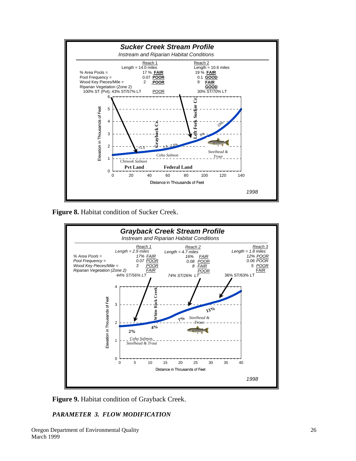

**Figure 8.** Habitat condition of Sucker Creek.



**Figure 9.** Habitat condition of Grayback Creek.

## *PARAMETER 3. FLOW MODIFICATION*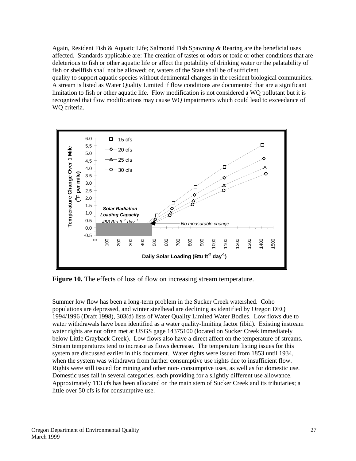Again, Resident Fish & Aquatic Life; Salmonid Fish Spawning & Rearing are the beneficial uses affected. Standards applicable are: The creation of tastes or odors or toxic or other conditions that are deleterious to fish or other aquatic life or affect the potability of drinking water or the palatability of fish or shellfish shall not be allowed; or, waters of the State shall be of sufficient quality to support aquatic species without detrimental changes in the resident biological communities. A stream is listed as Water Quality Limited if flow conditions are documented that are a significant limitation to fish or other aquatic life. Flow modification is not considered a WQ pollutant but it is recognized that flow modifications may cause WQ impairments which could lead to exceedance of WQ criteria.



**Figure 10.** The effects of loss of flow on increasing stream temperature.

Summer low flow has been a long-term problem in the Sucker Creek watershed. Coho populations are depressed, and winter steelhead are declining as identified by Oregon DEQ 1994/1996 (Draft 1998), 303(d) lists of Water Quality Limited Water Bodies. Low flows due to water withdrawals have been identified as a water quality-limiting factor (ibid). Existing instream water rights are not often met at USGS gage 14375100 (located on Sucker Creek immediately below Little Grayback Creek). Low flows also have a direct affect on the temperature of streams. Stream temperatures tend to increase as flows decrease. The temperature listing issues for this system are discussed earlier in this document. Water rights were issued from 1853 until 1934, when the system was withdrawn from further consumptive use rights due to insufficient flow. Rights were still issued for mining and other non- consumptive uses, as well as for domestic use. Domestic uses fall in several categories, each providing for a slightly different use allowance. Approximately 113 cfs has been allocated on the main stem of Sucker Creek and its tributaries; a little over 50 cfs is for consumptive use.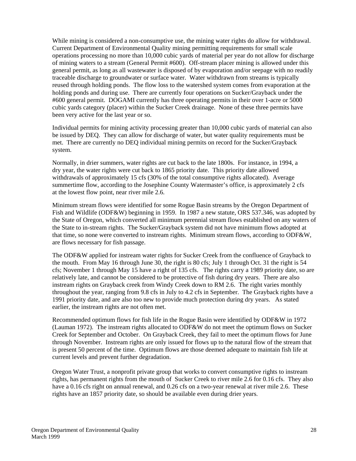While mining is considered a non-consumptive use, the mining water rights do allow for withdrawal. Current Department of Environmental Quality mining permitting requirements for small scale operations processing no more than 10,000 cubic yards of material per year do not allow for discharge of mining waters to a stream (General Permit #600). Off-stream placer mining is allowed under this general permit, as long as all wastewater is disposed of by evaporation and/or seepage with no readily traceable discharge to groundwater or surface water. Water withdrawn from streams is typically reused through holding ponds. The flow loss to the watershed system comes from evaporation at the holding ponds and during use. There are currently four operations on Sucker/Grayback under the #600 general permit. DOGAMI currently has three operating permits in their over 1-acre or 5000 cubic yards category (placer) within the Sucker Creek drainage. None of these three permits have been very active for the last year or so.

Individual permits for mining activity processing greater than 10,000 cubic yards of material can also be issued by DEQ. They can allow for discharge of water, but water quality requirements must be met. There are currently no DEQ individual mining permits on record for the Sucker/Grayback system.

Normally, in drier summers, water rights are cut back to the late 1800s. For instance, in 1994, a dry year, the water rights were cut back to 1865 priority date. This priority date allowed withdrawals of approximately 15 cfs (30% of the total consumptive rights allocated). Average summertime flow, according to the Josephine County Watermaster's office, is approximately 2 cfs at the lowest flow point, near river mile 2.6.

Minimum stream flows were identified for some Rogue Basin streams by the Oregon Department of Fish and Wildlife (ODF&W) beginning in 1959. In 1987 a new statute, ORS 537.346, was adopted by the State of Oregon, which converted all minimum perennial stream flows established on any waters of the State to in-stream rights. The Sucker/Grayback system did not have minimum flows adopted at that time, so none were converted to instream rights. Minimum stream flows, according to ODF&W, are flows necessary for fish passage.

The ODF&W applied for instream water rights for Sucker Creek from the confluence of Grayback to the mouth. From May 16 through June 30, the right is 80 cfs; July 1 through Oct. 31 the right is 54 cfs; November 1 through May 15 have a right of 135 cfs. The rights carry a 1989 priority date, so are relatively late, and cannot be considered to be protective of fish during dry years. There are also instream rights on Grayback creek from Windy Creek down to RM 2.6. The right varies monthly throughout the year, ranging from 9.8 cfs in July to 4.2 cfs in September. The Grayback rights have a 1991 priority date, and are also too new to provide much protection during dry years. As stated earlier, the instream rights are not often met.

Recommended optimum flows for fish life in the Rogue Basin were identified by ODF&W in 1972 (Lauman 1972). The instream rights allocated to ODF&W do not meet the optimum flows on Sucker Creek for September and October. On Grayback Creek, they fail to meet the optimum flows for June through November. Instream rights are only issued for flows up to the natural flow of the stream that is present 50 percent of the time. Optimum flows are those deemed adequate to maintain fish life at current levels and prevent further degradation.

Oregon Water Trust, a nonprofit private group that works to convert consumptive rights to instream rights, has permanent rights from the mouth of Sucker Creek to river mile 2.6 for 0.16 cfs. They also have a 0.16 cfs right on annual renewal, and 0.26 cfs on a two-year renewal at river mile 2.6. These rights have an 1857 priority date, so should be available even during drier years.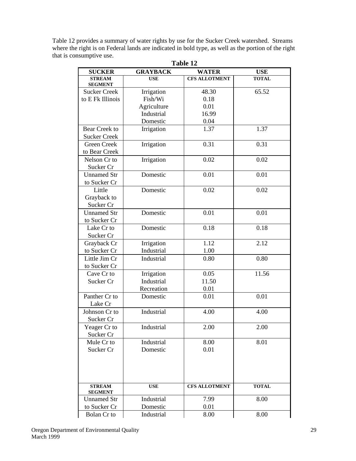Table 12 provides a summary of water rights by use for the Sucker Creek watershed. Streams where the right is on Federal lands are indicated in bold type, as well as the portion of the right that is consumptive use.

| ташс 14              |                          |                      |              |  |  |  |  |
|----------------------|--------------------------|----------------------|--------------|--|--|--|--|
| <b>SUCKER</b>        | <b>GRAYBACK</b>          | <b>WATER</b>         | <b>USE</b>   |  |  |  |  |
| <b>STREAM</b>        | <b>USE</b>               | <b>CFS ALLOTMENT</b> | <b>TOTAL</b> |  |  |  |  |
| <b>SEGMENT</b>       |                          |                      |              |  |  |  |  |
| <b>Sucker Creek</b>  | Irrigation               | 48.30                | 65.52        |  |  |  |  |
| to E Fk Illinois     | Fish/Wi                  | 0.18                 |              |  |  |  |  |
|                      | Agriculture              | 0.01                 |              |  |  |  |  |
|                      | Industrial               | 16.99                |              |  |  |  |  |
|                      | Domestic                 | 0.04                 |              |  |  |  |  |
| <b>Bear Creek to</b> | Irrigation               | 1.37                 | 1.37         |  |  |  |  |
| <b>Sucker Creek</b>  |                          |                      |              |  |  |  |  |
| <b>Green Creek</b>   | Irrigation               | 0.31                 | 0.31         |  |  |  |  |
| to Bear Creek        |                          |                      |              |  |  |  |  |
| Nelson Cr to         | Irrigation               | 0.02                 | 0.02         |  |  |  |  |
| Sucker Cr            |                          |                      |              |  |  |  |  |
| <b>Unnamed Str</b>   | Domestic                 | 0.01                 | 0.01         |  |  |  |  |
| to Sucker Cr         |                          |                      |              |  |  |  |  |
| Little               | Domestic                 | 0.02                 | 0.02         |  |  |  |  |
| Grayback to          |                          |                      |              |  |  |  |  |
| Sucker Cr            |                          |                      |              |  |  |  |  |
| <b>Unnamed Str</b>   | Domestic                 | 0.01                 | 0.01         |  |  |  |  |
| to Sucker Cr         |                          |                      |              |  |  |  |  |
| Lake Cr to           | Domestic                 | 0.18                 | 0.18         |  |  |  |  |
| Sucker Cr            |                          |                      |              |  |  |  |  |
| Grayback Cr          | Irrigation               | 1.12                 | 2.12         |  |  |  |  |
| to Sucker Cr         | Industrial               | 1.00                 |              |  |  |  |  |
| Little Jim Cr        | Industrial               | 0.80                 | 0.80         |  |  |  |  |
| to Sucker Cr         |                          |                      |              |  |  |  |  |
|                      |                          | 0.05                 | 11.56        |  |  |  |  |
| Cave Cr to           | Irrigation<br>Industrial |                      |              |  |  |  |  |
| Sucker Cr            |                          | 11.50                |              |  |  |  |  |
|                      | Recreation               | 0.01                 |              |  |  |  |  |
| Panther Cr to        | Domestic                 | 0.01                 | 0.01         |  |  |  |  |
| Lake Cr              |                          |                      |              |  |  |  |  |
| Johnson Cr to        | Industrial               | 4.00                 | 4.00         |  |  |  |  |
| Sucker Cr            |                          |                      |              |  |  |  |  |
| Yeager Cr to         | Industrial               | 2.00                 | 2.00         |  |  |  |  |
| Sucker Cr            |                          |                      |              |  |  |  |  |
| Mule Cr to           | Industrial               | 8.00                 | 8.01         |  |  |  |  |
| Sucker Cr            | Domestic                 | 0.01                 |              |  |  |  |  |
|                      |                          |                      |              |  |  |  |  |
|                      |                          |                      |              |  |  |  |  |
|                      |                          |                      |              |  |  |  |  |
|                      |                          |                      |              |  |  |  |  |
| <b>STREAM</b>        | <b>USE</b>               | <b>CFS ALLOTMENT</b> | <b>TOTAL</b> |  |  |  |  |
| <b>SEGMENT</b>       |                          |                      |              |  |  |  |  |
| <b>Unnamed Str</b>   | Industrial               | 7.99                 | 8.00         |  |  |  |  |
| to Sucker Cr         | Domestic                 | 0.01                 |              |  |  |  |  |
| Bolan Cr to          | Industrial               | 8.00                 | 8.00         |  |  |  |  |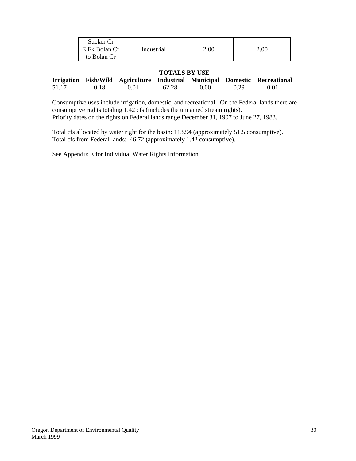| Sucker Cr     |            |      |      |
|---------------|------------|------|------|
| E Fk Bolan Cr | Industrial | 2.00 | 2.00 |
| to Bolan Cr   |            |      |      |

#### **TOTALS BY USE**

|       |      |      |       |                   |      | Irrigation Fish/Wild Agriculture Industrial Municipal Domestic Recreational |
|-------|------|------|-------|-------------------|------|-----------------------------------------------------------------------------|
| 51.17 | 0.18 | 0.01 | 62.28 | 0.00 <sub>1</sub> | 0.29 | 0.01                                                                        |

Consumptive uses include irrigation, domestic, and recreational. On the Federal lands there are consumptive rights totaling 1.42 cfs (includes the unnamed stream rights). Priority dates on the rights on Federal lands range December 31, 1907 to June 27, 1983.

Total cfs allocated by water right for the basin: 113.94 (approximately 51.5 consumptive). Total cfs from Federal lands: 46.72 (approximately 1.42 consumptive).

See Appendix E for Individual Water Rights Information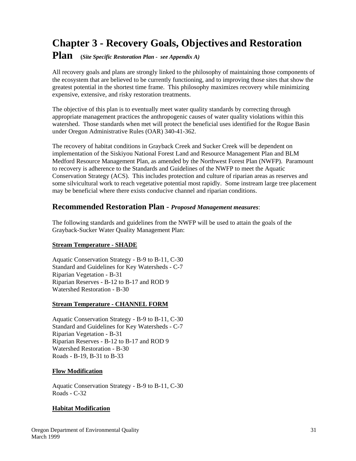# **Chapter 3 - Recovery Goals, Objectives and Restoration**

**Plan (***Site Specific Restoration Plan - see Appendix A)*

All recovery goals and plans are strongly linked to the philosophy of maintaining those components of the ecosystem that are believed to be currently functioning, and to improving those sites that show the greatest potential in the shortest time frame. This philosophy maximizes recovery while minimizing expensive, extensive, and risky restoration treatments.

The objective of this plan is to eventually meet water quality standards by correcting through appropriate management practices the anthropogenic causes of water quality violations within this watershed. Those standards when met will protect the beneficial uses identified for the Rogue Basin under Oregon Administrative Rules (OAR) 340-41-362.

The recovery of habitat conditions in Grayback Creek and Sucker Creek will be dependent on implementation of the Siskiyou National Forest Land and Resource Management Plan and BLM Medford Resource Management Plan, as amended by the Northwest Forest Plan (NWFP). Paramount to recovery is adherence to the Standards and Guidelines of the NWFP to meet the Aquatic Conservation Strategy (ACS). This includes protection and culture of riparian areas as reserves and some silvicultural work to reach vegetative potential most rapidly. Some instream large tree placement may be beneficial where there exists conducive channel and riparian conditions.

# **Recommended Restoration Plan** - *Proposed Management measures*:

The following standards and guidelines from the NWFP will be used to attain the goals of the Grayback-Sucker Water Quality Management Plan:

#### **Stream Temperature - SHADE**

Aquatic Conservation Strategy - B-9 to B-11, C-30 Standard and Guidelines for Key Watersheds - C-7 Riparian Vegetation - B-31 Riparian Reserves - B-12 to B-17 and ROD 9 Watershed Restoration - B-30

#### **Stream Temperature - CHANNEL FORM**

Aquatic Conservation Strategy - B-9 to B-11, C-30 Standard and Guidelines for Key Watersheds - C-7 Riparian Vegetation - B-31 Riparian Reserves - B-12 to B-17 and ROD 9 Watershed Restoration - B-30 Roads - B-19, B-31 to B-33

## **Flow Modification**

Aquatic Conservation Strategy - B-9 to B-11, C-30 Roads - C-32

## **Habitat Modification**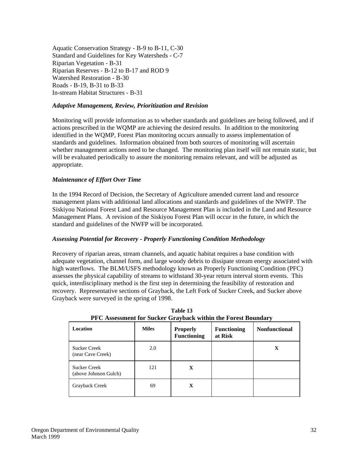Aquatic Conservation Strategy - B-9 to B-11, C-30 Standard and Guidelines for Key Watersheds - C-7 Riparian Vegetation - B-31 Riparian Reserves - B-12 to B-17 and ROD 9 Watershed Restoration - B-30 Roads - B-19, B-31 to B-33 In-stream Habitat Structures - B-31

#### *Adaptive Management, Review, Prioritization and Revision*

Monitoring will provide information as to whether standards and guidelines are being followed, and if actions prescribed in the WQMP are achieving the desired results. In addition to the monitoring identified in the WQMP, Forest Plan monitoring occurs annually to assess implementation of standards and guidelines. Information obtained from both sources of monitoring will ascertain whether management actions need to be changed. The monitoring plan itself will not remain static, but will be evaluated periodically to assure the monitoring remains relevant, and will be adjusted as appropriate.

#### *Maintenance of Effort Over Time*

In the 1994 Record of Decision, the Secretary of Agriculture amended current land and resource management plans with additional land allocations and standards and guidelines of the NWFP. The Siskiyou National Forest Land and Resource Management Plan is included in the Land and Resource Management Plans. A revision of the Siskiyou Forest Plan will occur in the future, in which the standard and guidelines of the NWFP will be incorporated.

#### *Assessing Potential for Recovery - Properly Functioning Condition Methodology*

Recovery of riparian areas, stream channels, and aquatic habitat requires a base condition with adequate vegetation, channel form, and large woody debris to dissipate stream energy associated with high waterflows. The BLM/USFS methodology known as Properly Functioning Condition (PFC) assesses the physical capability of streams to withstand 30-year return interval storm events. This quick, interdisciplinary method is the first step in determining the feasibility of restoration and recovery. Representative sections of Grayback, the Left Fork of Sucker Creek, and Sucker above Grayback were surveyed in the spring of 1998.

| Location                                     | <b>Miles</b> | <b>Properly</b><br><b>Functioning</b> | <b>Functioning</b><br>at Risk | <b>Nonfunctional</b> |
|----------------------------------------------|--------------|---------------------------------------|-------------------------------|----------------------|
| <b>Sucker Creek</b><br>(near Cave Creek)     | 2.0          |                                       |                               | $\mathbf X$          |
| <b>Sucker Creek</b><br>(above Johnson Gulch) | 121          | $\mathbf x$                           |                               |                      |
| Grayback Creek                               | 69           | X                                     |                               |                      |

 **Table 13 PFC Assessment for Sucker Grayback within the Forest Boundary**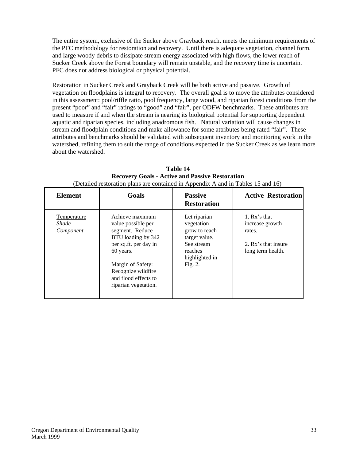The entire system, exclusive of the Sucker above Grayback reach, meets the minimum requirements of the PFC methodology for restoration and recovery. Until there is adequate vegetation, channel form, and large woody debris to dissipate stream energy associated with high flows, the lower reach of Sucker Creek above the Forest boundary will remain unstable, and the recovery time is uncertain. PFC does not address biological or physical potential.

Restoration in Sucker Creek and Grayback Creek will be both active and passive. Growth of vegetation on floodplains is integral to recovery. The overall goal is to move the attributes considered in this assessment: pool/riffle ratio, pool frequency, large wood, and riparian forest conditions from the present "poor" and "fair" ratings to "good" and "fair", per ODFW benchmarks. These attributes are used to measure if and when the stream is nearing its biological potential for supporting dependent aquatic and riparian species, including anadromous fish. Natural variation will cause changes in stream and floodplain conditions and make allowance for some attributes being rated "fair". These attributes and benchmarks should be validated with subsequent inventory and monitoring work in the watershed, refining them to suit the range of conditions expected in the Sucker Creek as we learn more about the watershed.

| Element                           | Goals                                                                                   | <b>Passive</b><br><b>Restoration</b>                         | <b>Active Restoration</b>                    |
|-----------------------------------|-----------------------------------------------------------------------------------------|--------------------------------------------------------------|----------------------------------------------|
| Temperature<br>Shade<br>Component | Achieve maximum<br>value possible per<br>segment. Reduce<br>BTU loading by 342          | Let riparian<br>vegetation<br>grow to reach<br>target value. | 1. $Rx$ 's that<br>increase growth<br>rates. |
|                                   | per sq.ft. per day in<br>60 years.                                                      | See stream<br>reaches<br>highlighted in                      | 2. Rx's that insure<br>long term health.     |
|                                   | Margin of Safety:<br>Recognize wildfire<br>and flood effects to<br>riparian vegetation. | Fig. 2.                                                      |                                              |

 **Table 14 Recovery Goals - Active and Passive Restoration** (Detailed restoration plans are contained in Appendix A and in Tables 15 and 16)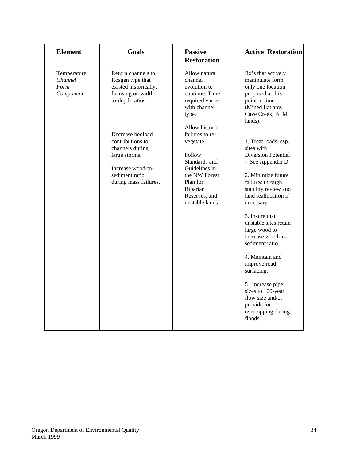| <b>Element</b>                              | <b>Goals</b>                                                                                                                             | <b>Passive</b><br><b>Restoration</b>                                                                                                                                    | <b>Active Restoration</b>                                                                                                                                                                                                                                                                                                                                                                                                                                      |
|---------------------------------------------|------------------------------------------------------------------------------------------------------------------------------------------|-------------------------------------------------------------------------------------------------------------------------------------------------------------------------|----------------------------------------------------------------------------------------------------------------------------------------------------------------------------------------------------------------------------------------------------------------------------------------------------------------------------------------------------------------------------------------------------------------------------------------------------------------|
| Temperature<br>Channel<br>Form<br>Component | Return channels to<br>Rosgen type that<br>existed historically,<br>focusing on width-<br>to-depth ratios.                                | Allow natural<br>channel<br>evolution to<br>continue. Time<br>required varies<br>with channel<br>type.                                                                  | Rx's that actively<br>manipulate form,<br>only one location<br>proposed at this<br>point in time<br>(Mined flat abv.<br>Cave Creek, BLM<br>lands).                                                                                                                                                                                                                                                                                                             |
|                                             | Decrease bedload<br>contributions to<br>channels during<br>large storms.<br>Increase wood-to-<br>sediment ratio<br>during mass failures. | Allow historic<br>failures to re-<br>vegetate.<br>Follow<br>Standards and<br>Guidelines in<br>the NW Forest<br>Plan for<br>Riparian<br>Reserves, and<br>unstable lands. | 1. Treat roads, esp.<br>sites with<br><b>Diversion Potential</b><br>- See Appendix D<br>2. Minimize future<br>failures through<br>stability review and<br>land reallocation if<br>necessary.<br>3. Insure that<br>unstable sites retain<br>large wood to<br>increase wood-to-<br>sediment ratio.<br>4. Maintain and<br>improve road<br>surfacing.<br>5. Increase pipe<br>sizes to 100-year<br>flow size and/or<br>provide for<br>overtopping during<br>floods. |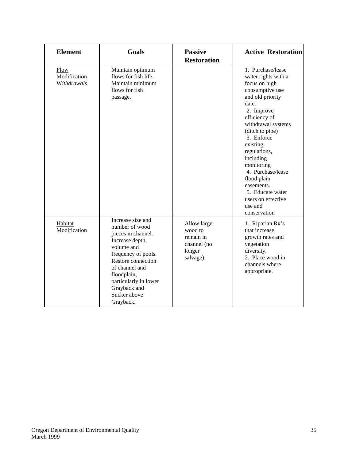| <b>Element</b>                      | <b>Goals</b>                                                                                                                                                                                                                                   | <b>Passive</b><br><b>Restoration</b>                                      | <b>Active Restoration</b>                                                                                                                                                                                                                                                                                                                                                     |
|-------------------------------------|------------------------------------------------------------------------------------------------------------------------------------------------------------------------------------------------------------------------------------------------|---------------------------------------------------------------------------|-------------------------------------------------------------------------------------------------------------------------------------------------------------------------------------------------------------------------------------------------------------------------------------------------------------------------------------------------------------------------------|
| Flow<br>Modification<br>Withdrawals | Maintain optimum<br>flows for fish life.<br>Maintain minimum<br>flows for fish<br>passage.                                                                                                                                                     |                                                                           | 1. Purchase/lease<br>water rights with a<br>focus on high<br>consumptive use<br>and old priority<br>date.<br>2. Improve<br>efficiency of<br>withdrawal systems<br>(ditch to pipe)<br>3. Enforce<br>existing<br>regulations,<br>including<br>monitoring<br>4. Purchase/lease<br>flood plain<br>easements.<br>5. Educate water<br>users on effective<br>use and<br>conservation |
| Habitat<br>Modification             | Increase size and<br>number of wood<br>pieces in channel.<br>Increase depth,<br>volume and<br>frequency of pools.<br>Restore connection<br>of channel and<br>floodplain,<br>particularly in lower<br>Grayback and<br>Sucker above<br>Grayback. | Allow large<br>wood to<br>remain in<br>channel (no<br>longer<br>salvage). | 1. Riparian Rx's<br>that increase<br>growth rates and<br>vegetation<br>diversity.<br>2. Place wood in<br>channels where<br>appropriate.                                                                                                                                                                                                                                       |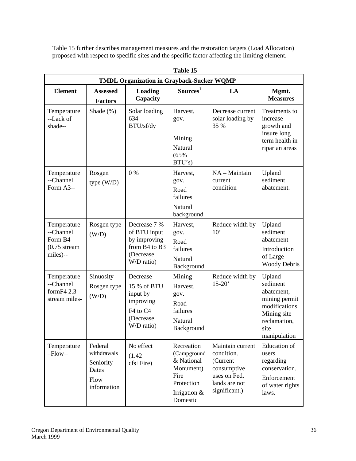Table 15 further describes management measures and the restoration targets (Load Allocation) proposed with respect to specific sites and the specific factor affecting the limiting element.

| <b>TMDL Organization in Grayback-Sucker WQMP</b>                  |                                                                     |                                                                                                                  |                                                                                                        |                                                                                                             |                                                                                                                            |  |
|-------------------------------------------------------------------|---------------------------------------------------------------------|------------------------------------------------------------------------------------------------------------------|--------------------------------------------------------------------------------------------------------|-------------------------------------------------------------------------------------------------------------|----------------------------------------------------------------------------------------------------------------------------|--|
| <b>Element</b>                                                    | <b>Assessed</b><br><b>Factors</b>                                   | <b>Loading</b><br>Capacity                                                                                       | Sources <sup>1</sup>                                                                                   | LA                                                                                                          | Mgmt.<br><b>Measures</b>                                                                                                   |  |
| Temperature<br>--Lack of<br>shade--                               | Shade (%)                                                           | Solar loading<br>634<br>BTU/sf/dy                                                                                | Harvest,<br>gov.<br>Mining<br>Natural<br>(65%<br>BTU's                                                 | Decrease current<br>solar loading by<br>35 %                                                                | Treatments to<br>increase<br>growth and<br>insure long<br>term health in<br>riparian areas                                 |  |
| Temperature<br>--Channel<br>Form A3--                             | Rosgen<br>type $(W/D)$                                              | $0\%$                                                                                                            | Harvest,<br>gov.<br>Road<br>failures<br>Natural<br>background                                          | NA - Maintain<br>current<br>condition                                                                       | Upland<br>sediment<br>abatement.                                                                                           |  |
| Temperature<br>--Channel<br>Form B4<br>$(0.75$ stream<br>miles)-- | Rosgen type<br>(W/D)                                                | Decrease 7 %<br>of BTU input<br>by improving<br>from B4 to B3<br>(Decrease)<br>W/D ratio)                        | Harvest,<br>gov.<br>Road<br>failures<br>Natural<br>Background                                          | Reduce width by<br>10'                                                                                      | Upland<br>sediment<br>abatement<br>Introduction<br>of Large<br><b>Woody Debris</b>                                         |  |
| Temperature<br>--Channel<br>form $F4$ 2.3<br>stream miles-        | Sinuosity<br>Rosgen type<br>(W/D)                                   | Decrease<br>15 % of BTU<br>input by<br>improving<br>F <sub>4</sub> to C <sub>4</sub><br>(Decrease)<br>W/D ratio) | Mining<br>Harvest,<br>gov.<br>Road<br>failures<br>Natural<br>Background                                | Reduce width by<br>$15 - 20'$                                                                               | Upland<br>sediment<br>abatement,<br>mining permit<br>modifications.<br>Mining site<br>reclamation,<br>site<br>manipulation |  |
| Temperature<br>$-Flow-$                                           | Federal<br>withdrawals<br>Seniority<br>Dates<br>Flow<br>information | No effect<br>(1.42)<br>$cfs + Fire)$                                                                             | Recreation<br>(Campground<br>& National<br>Monument)<br>Fire<br>Protection<br>Irrigation &<br>Domestic | Maintain current<br>condition.<br>(Current<br>consumptive<br>uses on Fed.<br>lands are not<br>significant.) | <b>Education</b> of<br>users<br>regarding<br>conservation.<br>Enforcement<br>of water rights<br>laws.                      |  |

**Table 15**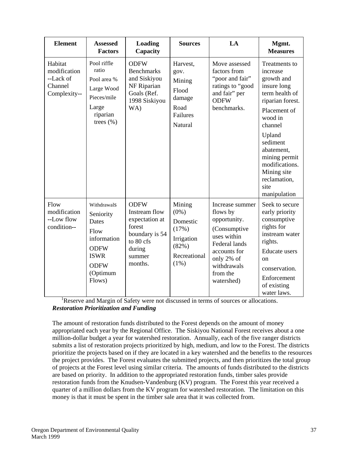| <b>Element</b>                                                  | <b>Assessed</b><br><b>Factors</b>                                                                                           | Loading<br>Capacity                                                                                                    | <b>Sources</b>                                                                           | LA                                                                                                                                                                        | Mgmt.<br><b>Measures</b>                                                                                                                                                                                                                                         |
|-----------------------------------------------------------------|-----------------------------------------------------------------------------------------------------------------------------|------------------------------------------------------------------------------------------------------------------------|------------------------------------------------------------------------------------------|---------------------------------------------------------------------------------------------------------------------------------------------------------------------------|------------------------------------------------------------------------------------------------------------------------------------------------------------------------------------------------------------------------------------------------------------------|
| Habitat<br>modification<br>--Lack of<br>Channel<br>Complexity-- | Pool riffle<br>ratio<br>Pool area %<br>Large Wood<br>Pieces/mile<br>Large<br>riparian<br>trees $(\% )$                      | <b>ODFW</b><br><b>Benchmarks</b><br>and Siskiyou<br>NF Riparian<br>Goals (Ref.<br>1998 Siskiyou<br>WA)                 | Harvest,<br>gov.<br>Mining<br>Flood<br>damage<br>Road<br>Failures<br>Natural             | Move assessed<br>factors from<br>"poor and fair"<br>ratings to "good<br>and fair" per<br><b>ODFW</b><br>benchmarks.                                                       | Treatments to<br>increase<br>growth and<br>insure long<br>term health of<br>riparian forest.<br>Placement of<br>wood in<br>channel<br>Upland<br>sediment<br>abatement,<br>mining permit<br>modifications.<br>Mining site<br>reclamation,<br>site<br>manipulation |
| Flow<br>modification<br>--Low flow<br>condition--               | Withdrawals<br>Seniority<br>Dates<br>Flow<br>information<br><b>ODFW</b><br><b>ISWR</b><br><b>ODFW</b><br>(Optimum<br>Flows) | <b>ODFW</b><br>Instream flow<br>expectation at<br>forest<br>boundary is 54<br>to 80 cfs<br>during<br>summer<br>months. | Mining<br>$(0\%)$<br>Domestic<br>(17%)<br>Irrigation<br>(82%)<br>Recreational<br>$(1\%)$ | Increase summer<br>flows by<br>opportunity.<br>(Consumptive<br>uses within<br><b>Federal lands</b><br>accounts for<br>only 2% of<br>withdrawals<br>from the<br>watershed) | Seek to secure<br>early priority<br>consumptive<br>rights for<br>instream water<br>rights.<br><b>Educate</b> users<br><sub>on</sub><br>conservation.<br>Enforcement<br>of existing<br>water laws.                                                                |

<sup>1</sup>Reserve and Margin of Safety were not discussed in terms of sources or allocations. *Restoration Prioritization and Funding* 

The amount of restoration funds distributed to the Forest depends on the amount of money appropriated each year by the Regional Office. The Siskiyou National Forest receives about a one million-dollar budget a year for watershed restoration. Annually, each of the five ranger districts submits a list of restoration projects prioritized by high, medium, and low to the Forest. The districts prioritize the projects based on if they are located in a key watershed and the benefits to the resources the project provides. The Forest evaluates the submitted projects, and then prioritizes the total group of projects at the Forest level using similar criteria. The amounts of funds distributed to the districts are based on priority. In addition to the appropriated restoration funds, timber sales provide restoration funds from the Knudsen-Vandenburg (KV) program. The Forest this year received a quarter of a million dollars from the KV program for watershed restoration. The limitation on this money is that it must be spent in the timber sale area that it was collected from.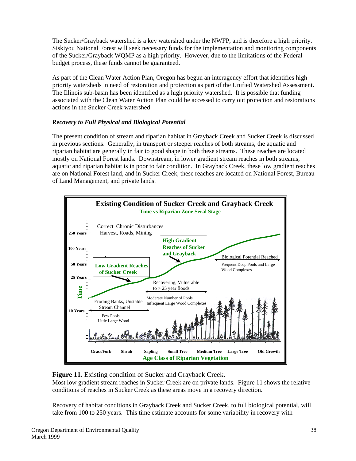The Sucker/Grayback watershed is a key watershed under the NWFP, and is therefore a high priority. Siskiyou National Forest will seek necessary funds for the implementation and monitoring components of the Sucker/Grayback WQMP as a high priority. However, due to the limitations of the Federal budget process, these funds cannot be guaranteed.

As part of the Clean Water Action Plan, Oregon has begun an interagency effort that identifies high priority watersheds in need of restoration and protection as part of the Unified Watershed Assessment. The Illinois sub-basin has been identified as a high priority watershed. It is possible that funding associated with the Clean Water Action Plan could be accessed to carry out protection and restorations actions in the Sucker Creek watershed

## *Recovery to Full Physical and Biological Potential*

The present condition of stream and riparian habitat in Grayback Creek and Sucker Creek is discussed in previous sections. Generally, in transport or steeper reaches of both streams, the aquatic and riparian habitat are generally in fair to good shape in both these streams. These reaches are located mostly on National Forest lands. Downstream, in lower gradient stream reaches in both streams, aquatic and riparian habitat is in poor to fair condition. In Grayback Creek, these low gradient reaches are on National Forest land, and in Sucker Creek, these reaches are located on National Forest, Bureau of Land Management, and private lands.



## **Figure 11.** Existing condition of Sucker and Grayback Creek.

Most low gradient stream reaches in Sucker Creek are on private lands. Figure 11 shows the relative conditions of reaches in Sucker Creek as these areas move in a recovery direction.

Recovery of habitat conditions in Grayback Creek and Sucker Creek, to full biological potential, will take from 100 to 250 years. This time estimate accounts for some variability in recovery with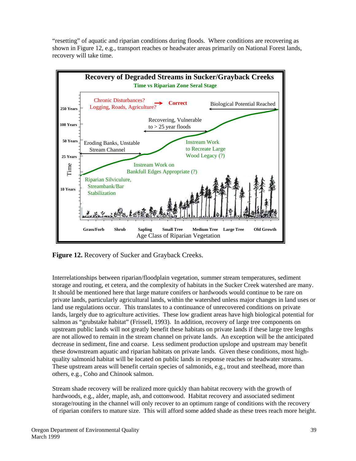"resetting" of aquatic and riparian conditions during floods. Where conditions are recovering as shown in Figure 12, e.g., transport reaches or headwater areas primarily on National Forest lands, recovery will take time.



**Figure 12.** Recovery of Sucker and Grayback Creeks.

Interrelationships between riparian/floodplain vegetation, summer stream temperatures, sediment storage and routing, et cetera, and the complexity of habitats in the Sucker Creek watershed are many. It should be mentioned here that large mature conifers or hardwoods would continue to be rare on private lands, particularly agricultural lands, within the watershed unless major changes in land uses or land use regulations occur. This translates to a continuance of unrecovered conditions on private lands, largely due to agriculture activities. These low gradient areas have high biological potential for salmon as "grubstake habitat" (Frissell, 1993). In addition, recovery of large tree components on upstream public lands will not greatly benefit these habitats on private lands if these large tree lengths are not allowed to remain in the stream channel on private lands. An exception will be the anticipated decrease in sediment, fine and coarse. Less sediment production upslope and upstream may benefit these downstream aquatic and riparian habitats on private lands. Given these conditions, most highquality salmonid habitat will be located on public lands in response reaches or headwater streams. These upstream areas will benefit certain species of salmonids, e.g., trout and steelhead, more than others, e.g., Coho and Chinook salmon.

Stream shade recovery will be realized more quickly than habitat recovery with the growth of hardwoods, e.g., alder, maple, ash, and cottonwood. Habitat recovery and associated sediment storage/routing in the channel will only recover to an optimum range of conditions with the recovery of riparian conifers to mature size. This will afford some added shade as these trees reach more height.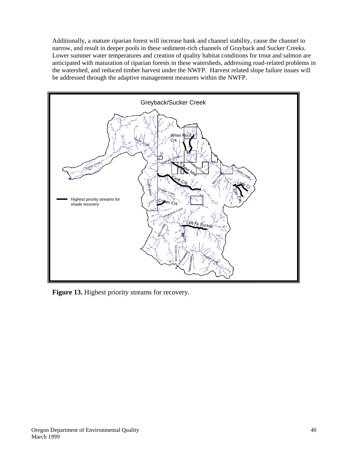Additionally, a mature riparian forest will increase bank and channel stability, cause the channel to narrow, and result in deeper pools in these sediment-rich channels of Grayback and Sucker Creeks. Lower summer water temperatures and creation of quality habitat conditions for trout and salmon are anticipated with maturation of riparian forests in these watersheds, addressing road-related problems in the watershed, and reduced timber harvest under the NWFP. Harvest related slope failure issues will be addressed through the adaptive management measures within the NWFP.



**Figure 13.** Highest priority streams for recovery.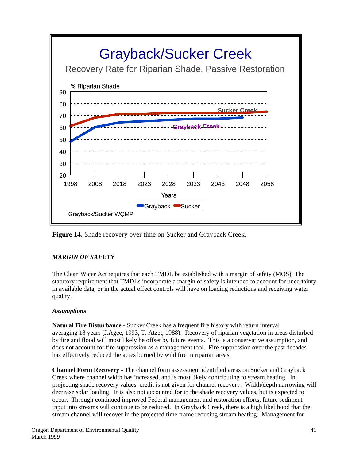

**Figure 14.** Shade recovery over time on Sucker and Grayback Creek.

## *MARGIN OF SAFETY*

The Clean Water Act requires that each TMDL be established with a margin of safety (MOS). The statutory requirement that TMDLs incorporate a margin of safety is intended to account for uncertainty in available data, or in the actual effect controls will have on loading reductions and receiving water quality.

## *Assumptions*

**Natural Fire Disturbance** - Sucker Creek has a frequent fire history with return interval averaging 18 years (J.Agee, 1993, T. Atzet, 1988). Recovery of riparian vegetation in areas disturbed by fire and flood will most likely be offset by future events. This is a conservative assumption, and does not account for fire suppression as a management tool. Fire suppression over the past decades has effectively reduced the acres burned by wild fire in riparian areas.

**Channel Form Recovery** - The channel form assessment identified areas on Sucker and Grayback Creek where channel width has increased, and is most likely contributing to stream heating. In projecting shade recovery values, credit is not given for channel recovery. Width/depth narrowing will decrease solar loading. It is also not accounted for in the shade recovery values, but is expected to occur. Through continued improved Federal management and restoration efforts, future sediment input into streams will continue to be reduced. In Grayback Creek, there is a high likelihood that the stream channel will recover in the projected time frame reducing stream heating. Management for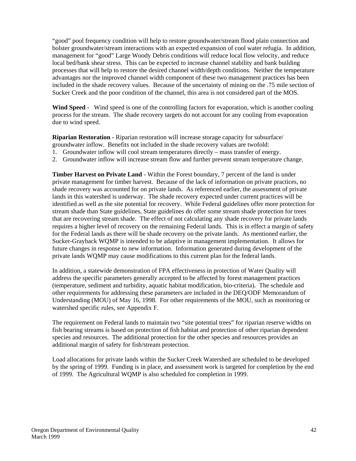"good" pool frequency condition will help to restore groundwater/stream flood plain connection and bolster groundwater/stream interactions with an expected expansion of cool water refugia. In addition, management for "good" Large Woody Debris conditions will reduce local flow velocity, and reduce local bed/bank shear stress. This can be expected to increase channel stability and bank building processes that will help to restore the desired channel width/depth conditions. Neither the temperature advantages nor the improved channel width component of these two management practices has been included in the shade recovery values. Because of the uncertainty of mining on the .75 mile section of Sucker Creek and the poor condition of the channel, this area is not considered part of the MOS.

**Wind Speed -** Wind speed is one of the controlling factors for evaporation, which is another cooling process for the stream. The shade recovery targets do not account for any cooling from evaporation due to wind speed.

**Riparian Restoration -** Riparian restoration will increase storage capacity for subsurface/ groundwater inflow. Benefits not included in the shade recovery values are twofold:

- 1. Groundwater inflow will cool stream temperatures directly mass transfer of energy.
- 2. Groundwater inflow will increase stream flow and further prevent stream temperature change.

**Timber Harvest on Private Land** - Within the Forest boundary, 7 percent of the land is under private management for timber harvest. Because of the lack of information on private practices, no shade recovery was accounted for on private lands. As referenced earlier, the assessment of private lands in this watershed is underway. The shade recovery expected under current practices will be identified as well as the site potential for recovery. While Federal guidelines offer more protection for stream shade than State guidelines, State guidelines do offer some stream shade protection for trees that are recovering stream shade. The effect of not calculating any shade recovery for private lands requires a higher level of recovery on the remaining Federal lands. This is in effect a margin of safety for the Federal lands as there will be shade recovery on the private lands. As mentioned earlier, the Sucker-Grayback WQMP is intended to be adaptive in management implementation. It allows for future changes in response to new information. Information generated during development of the private lands WQMP may cause modifications to this current plan for the federal lands.

In addition, a statewide demonstration of FPA effectiveness in protection of Water Quality will address the specific parameters generally accepted to be affected by forest management practices (temperature, sediment and turbidity, aquatic habitat modification, bio-criteria). The schedule and other requirements for addressing these parameters are included in the DEQ/ODF Memorandum of Understanding (MOU) of May 16, 1998. For other requirements of the MOU, such as monitoring or watershed specific rules, see Appendix F.

The requirement on Federal lands to maintain two "site potential trees" for riparian reserve widths on fish bearing streams is based on protection of fish habitat and protection of other riparian dependent species and resources. The additional protection for the other species and resources provides an additional margin of safety for fish/stream protection.

Load allocations for private lands within the Sucker Creek Watershed are scheduled to be developed by the spring of 1999. Funding is in place, and assessment work is targeted for completion by the end of 1999. The Agricultural WQMP is also scheduled for completion in 1999.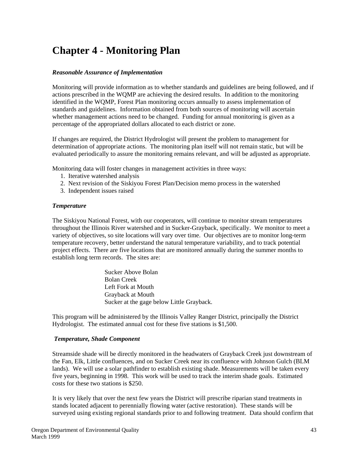# **Chapter 4 - Monitoring Plan**

#### *Reasonable Assurance of Implementation*

Monitoring will provide information as to whether standards and guidelines are being followed, and if actions prescribed in the WQMP are achieving the desired results. In addition to the monitoring identified in the WQMP, Forest Plan monitoring occurs annually to assess implementation of standards and guidelines. Information obtained from both sources of monitoring will ascertain whether management actions need to be changed. Funding for annual monitoring is given as a percentage of the appropriated dollars allocated to each district or zone.

If changes are required, the District Hydrologist will present the problem to management for determination of appropriate actions. The monitoring plan itself will not remain static, but will be evaluated periodically to assure the monitoring remains relevant, and will be adjusted as appropriate.

Monitoring data will foster changes in management activities in three ways:

- 1. Iterative watershed analysis
- 2. Next revision of the Siskiyou Forest Plan/Decision memo process in the watershed
- 3. Independent issues raised

#### *Temperature*

The Siskiyou National Forest, with our cooperators, will continue to monitor stream temperatures throughout the Illinois River watershed and in Sucker-Grayback, specifically. We monitor to meet a variety of objectives, so site locations will vary over time. Our objectives are to monitor long-term temperature recovery, better understand the natural temperature variability, and to track potential project effects. There are five locations that are monitored annually during the summer months to establish long term records. The sites are:

> Sucker Above Bolan Bolan Creek Left Fork at Mouth Grayback at Mouth Sucker at the gage below Little Grayback.

This program will be administered by the Illinois Valley Ranger District, principally the District Hydrologist. The estimated annual cost for these five stations is \$1,500.

#### *Temperature, Shade Component*

Streamside shade will be directly monitored in the headwaters of Grayback Creek just downstream of the Fan, Elk, Little confluences, and on Sucker Creek near its confluence with Johnson Gulch (BLM lands). We will use a solar pathfinder to establish existing shade. Measurements will be taken every five years, beginning in 1998. This work will be used to track the interim shade goals. Estimated costs for these two stations is \$250.

It is very likely that over the next few years the District will prescribe riparian stand treatments in stands located adjacent to perennially flowing water (active restoration). These stands will be surveyed using existing regional standards prior to and following treatment. Data should confirm that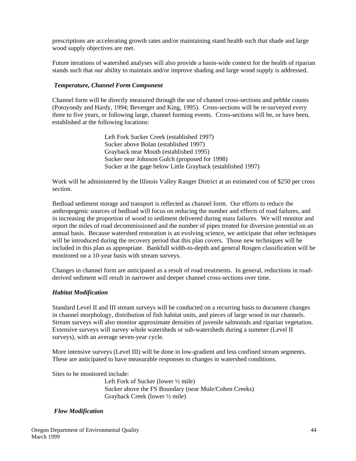prescriptions are accelerating growth rates and/or maintaining stand health such that shade and large wood supply objectives are met.

Future iterations of watershed analyses will also provide a basin-wide context for the health of riparian stands such that our ability to maintain and/or improve shading and large wood supply is addressed.

#### *Temperature, Channel Form Component*

Channel form will be directly measured through the use of channel cross-sections and pebble counts (Potoyondy and Hardy, 1994; Bevenger and King, 1995). Cross-sections will be re-surveyed every three to five years, or following large, channel forming events. Cross-sections will be, or have been, established at the following locations:

> Left Fork Sucker Creek (established 1997) Sucker above Bolan (established 1997) Grayback near Mouth (established 1995) Sucker near Johnson Gulch (proposed for 1998) Sucker at the gage below Little Grayback (established 1997)

Work will be administered by the Illinois Valley Ranger District at an estimated cost of \$250 per cross section.

Bedload sediment storage and transport is reflected as channel form. Our efforts to reduce the anthropogenic sources of bedload will focus on reducing the number and effects of road failures, and in increasing the proportion of wood to sediment delivered during mass failures. We will monitor and report the miles of road decommissioned and the number of pipes treated for diversion potential on an annual basis. Because watershed restoration is an evolving science, we anticipate that other techniques will be introduced during the recovery period that this plan covers. Those new techniques will be included in this plan as appropriate. Bankfull width-to-depth and general Rosgen classification will be monitored on a 10-year basis with stream surveys.

Changes in channel form are anticipated as a result of road treatments. In general, reductions in roadderived sediment will result in narrower and deeper channel cross-sections over time.

#### *Habitat Modification*

Standard Level II and III stream surveys will be conducted on a recurring basis to document changes in channel morphology, distribution of fish habitat units, and pieces of large wood in our channels. Stream surveys will also monitor approximate densities of juvenile salmonids and riparian vegetation. Extensive surveys will survey whole watersheds or sub-watersheds during a summer (Level II surveys), with an average seven-year cycle.

More intensive surveys (Level III) will be done in low-gradient and less confined stream segments. These are anticipated to have measurable responses to changes in watershed conditions.

Sites to be monitored include:

Left Fork of Sucker (lower ½ mile) Sucker above the FS Boundary (near Mule/Cohen Creeks) Grayback Creek (lower ½ mile)

#### *Flow Modification*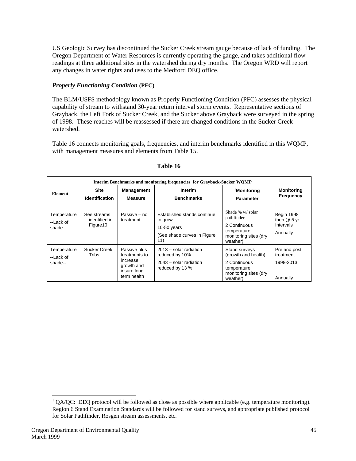US Geologic Survey has discontinued the Sucker Creek stream gauge because of lack of funding. The Oregon Department of Water Resources is currently operating the gauge, and takes additional flow readings at three additional sites in the watershed during dry months. The Oregon WRD will report any changes in water rights and uses to the Medford DEQ office.

#### *Properly Functioning Condition* **(PFC)**

The BLM/USFS methodology known as Properly Functioning Condition (PFC) assesses the physical capability of stream to withstand 30-year return interval storm events. Representative sections of Grayback, the Left Fork of Sucker Creek, and the Sucker above Grayback were surveyed in the spring of 1998. These reaches will be reassessed if there are changed conditions in the Sucker Creek watershed.

Table 16 connects monitoring goals, frequencies, and interim benchmarks identified in this WQMP, with management measures and elements from Table 15.

| <b>Interim Benchmarks and monitoring frequencies for Grayback-Sucker WQMP</b> |                                                      |                                                                                       |                                                                                               |                                                                                                          |                                                      |  |
|-------------------------------------------------------------------------------|------------------------------------------------------|---------------------------------------------------------------------------------------|-----------------------------------------------------------------------------------------------|----------------------------------------------------------------------------------------------------------|------------------------------------------------------|--|
| <b>Element</b>                                                                | Site<br><b>Identification</b>                        | <b>Management</b><br><b>Measure</b>                                                   | Interim<br><b>Benchmarks</b>                                                                  | Monitoring<br><b>Parameter</b>                                                                           | <b>Monitoring</b><br><b>Frequency</b>                |  |
| Temperature<br>--Lack of<br>shade--                                           | See streams<br>identified in<br>Figure <sub>10</sub> | Passive – no<br>treatment                                                             | Established stands continue<br>to grow<br>$10-50$ years<br>(See shade curves in Figure<br>11) | Shade % w/ solar<br>pathfinder<br>2 Continuous<br>temperature<br>monitoring sites (dry<br>weather)       | Begin 1998<br>then $@5$ yr.<br>Intervals<br>Annually |  |
| Temperature<br>--Lack of<br>shade--                                           | <b>Sucker Creek</b><br>Tribs.                        | Passive plus<br>treatments to<br>increase<br>growth and<br>insure long<br>term health | 2013 – solar radiation<br>reduced by 10%<br>2043 - solar radiation<br>reduced by 13 %         | Stand surveys<br>(growth and health)<br>2 Continuous<br>temperature<br>monitoring sites (dry<br>weather) | Pre and post<br>treatment<br>1998-2013<br>Annually   |  |

#### **Table 16**

 $\overline{a}$ 

<span id="page-45-0"></span><sup>&</sup>lt;sup>1</sup> QA/QC: DEQ protocol will be followed as close as possible where applicable (e.g. temperature monitoring). Region 6 Stand Examination Standards will be followed for stand surveys, and appropriate published protocol for Solar Pathfinder, Rosgen stream assessments, etc.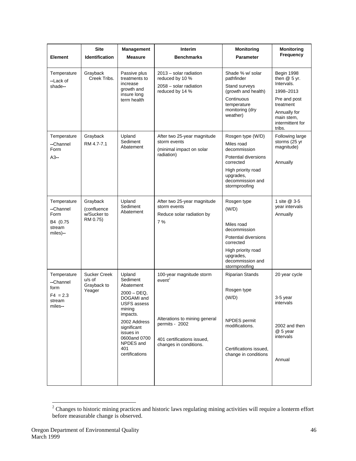| <b>Element</b>                                                      | <b>Site</b><br>Identification                          | <b>Management</b><br><b>Measure</b>                                                                                                                                                                          | Interim<br><b>Benchmarks</b>                                                                                                                              | <b>Monitoring</b><br><b>Parameter</b>                                                                                                                           | <b>Monitoring</b><br><b>Frequency</b>                                                                                                                                               |
|---------------------------------------------------------------------|--------------------------------------------------------|--------------------------------------------------------------------------------------------------------------------------------------------------------------------------------------------------------------|-----------------------------------------------------------------------------------------------------------------------------------------------------------|-----------------------------------------------------------------------------------------------------------------------------------------------------------------|-------------------------------------------------------------------------------------------------------------------------------------------------------------------------------------|
| Temperature<br>--Lack of<br>shade--<br>Temperature                  | Grayback<br>Creek Tribs.<br>Grayback                   | Passive plus<br>treatments to<br>increase<br>growth and<br>insure long<br>term health<br>Upland<br>Sediment                                                                                                  | 2013 - solar radiation<br>reduced by 10 %<br>2058 - solar radiation<br>reduced by 14 %<br>After two 25-year magnitude<br>storm events                     | Shade % w/ solar<br>pathfinder<br>Stand surveys<br>(growth and health)<br>Continuous<br>temperature<br>monitoring (dry<br>weather)<br>Rosgen type (W/D)         | Begin 1998<br>then $@5$ yr.<br>Intervals.<br>1998-2013<br>Pre and post<br>treatment<br>Annually for<br>main stem,<br>intermittent for<br>tribs.<br>Following large<br>storms (25 yr |
| --Channel<br>Form<br>A3--                                           | RM 4.7-7.1                                             | Abatement                                                                                                                                                                                                    | (minimal impact on solar<br>radiation)                                                                                                                    | Miles road<br>decommission<br>Potential diversions<br>corrected<br>High priority road<br>upgrades,<br>decommission and<br>stormproofing                         | magnitude)<br>Annually                                                                                                                                                              |
| Temperature<br>--Channel<br>Form<br>B4 (0.75<br>stream<br>miles)--  | Grayback<br>(confluence<br>w/Sucker to<br>RM 0.75)     | Upland<br>Sediment<br>Abatement                                                                                                                                                                              | After two 25-year magnitude<br>storm events<br>Reduce solar radiation by<br>7%                                                                            | Rosgen type<br>(W/D)<br>Miles road<br>decommission<br>Potential diversions<br>corrected<br>High priority road<br>upgrades,<br>decommission and<br>stormproofing | 1 site @ 3-5<br>year intervals<br>Annually                                                                                                                                          |
| Temperature<br>--Channel<br>form<br>$F4 = 2.3$<br>stream<br>miles-- | <b>Sucker Creek</b><br>u/s of<br>Grayback to<br>Yeager | Upland<br>Sediment<br>Abatement<br>$2000 - DEQ,$<br>DOGAMI and<br><b>USFS</b> assess<br>mining<br>impacts.<br>2002 Address<br>significant<br>issues in<br>0600and 0700<br>NPDES and<br>401<br>certifications | 100-year magnitude storm<br>event <sup>2</sup><br>Alterations to mining general<br>permits - 2002<br>401 certifications issued,<br>changes in conditions. | <b>Riparian Stands</b><br>Rosgen type<br>(W/D)<br>NPDES permit<br>modifications.<br>Certifications issued,<br>change in conditions                              | 20 year cycle<br>3-5 year<br>intervals<br>2002 and then<br>@ 5 year<br>intervals<br>Annual                                                                                          |

<span id="page-46-0"></span><sup>&</sup>lt;sup>2</sup> Changes to historic mining practices and historic laws regulating mining activities will require a lonterm effort before measurable change is observed.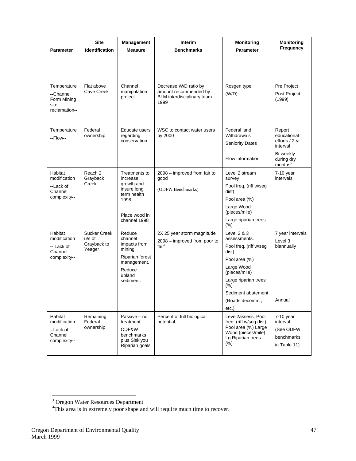| <b>Parameter</b>                                                 | <b>Site</b><br><b>Identification</b>                   | Management<br><b>Measure</b>                                                                                    | Interim<br><b>Benchmarks</b>                                                          | <b>Monitoring</b><br><b>Parameter</b>                                                                                                                                                           | <b>Monitoring</b><br>Frequency                                                                        |
|------------------------------------------------------------------|--------------------------------------------------------|-----------------------------------------------------------------------------------------------------------------|---------------------------------------------------------------------------------------|-------------------------------------------------------------------------------------------------------------------------------------------------------------------------------------------------|-------------------------------------------------------------------------------------------------------|
| Temperature<br>--Channel<br>Form Mining<br>site<br>reclamation-- | Flat above<br>Cave Creek                               | Channel<br>manipulation<br>project                                                                              | Decrease W/D ratio by<br>amount recommended by<br>BLM interdisciplinary team.<br>1999 | Rosgen type<br>(W/D)                                                                                                                                                                            | Pre Project<br>Post Project<br>(1999)                                                                 |
| Temperature<br>--Flow--                                          | Federal<br>ownership                                   | Educate users<br>regarding<br>conservation                                                                      | WSC to contact water users<br>by 2000                                                 | Federal land<br>Withdrawals<br><b>Seniority Dates</b><br>Flow information                                                                                                                       | Report<br>educational<br>efforts / 2-yr<br>interval<br>Bi-weekly<br>during dry<br>months <sup>3</sup> |
| Habitat<br>modification<br>--Lack of<br>Channel<br>complexity--  | Reach <sub>2</sub><br>Grayback<br>Creek                | Treatments to<br>increase<br>growth and<br>insure long<br>term health<br>1998<br>Place wood in<br>channel 1998  | 2098 - improved from fair to<br>good<br>(ODFW Benchmarks)                             | Level 2 stream<br>survey<br>Pool freq. (riff w/seg<br>dist)<br>Pool area (%)<br>Large Wood<br>(pieces/mile)<br>Large riparian trees<br>(%)                                                      | $7-10$ year<br>intervals                                                                              |
| Habitat<br>modification<br>-- Lack of<br>Channel<br>complexity-- | <b>Sucker Creek</b><br>u/s of<br>Grayback to<br>Yeager | Reduce<br>channel<br>impacts from<br>mining.<br>Riparian forest<br>management.<br>Reduce<br>upland<br>sediment. | 2X 25 year storm magnitude<br>2098 - improved from poor to<br>fair <sup>4</sup>       | Level 2 & 3<br>assessments.<br>Pool freq. (riff w/seg<br>dist)<br>Pool area (%)<br>Large Wood<br>(pieces/mile)<br>Large riparian trees<br>(% )<br>Sediment abatement<br>(Roads decomm.,<br>etc. | 7 year intervals<br>Level 3<br>biannually<br>Annual                                                   |
| Habitat<br>modification<br>--Lack of<br>Channel<br>complexity--  | Remaining<br>Federal<br>ownership                      | Passive - no<br>treatment.<br>ODF&W<br>benchmarks<br>plus Siskiyou<br>Riparian goals                            | Percent of full biological<br>potential                                               | Level2assess. Pool<br>freq. (riff w/seq dist)<br>Pool area (%) Large<br>Wood (pieces/mile)<br>Lg Riparian trees<br>(% )                                                                         | $7-10$ year<br>interval<br>(See ODFW<br>benchmarks<br>in Table 11)                                    |

<span id="page-47-1"></span><span id="page-47-0"></span>

<sup>&</sup>lt;sup>3</sup> Oregon Water Resources Department<br><sup>4</sup>This area is in extremely poor shape and will require much time to recover.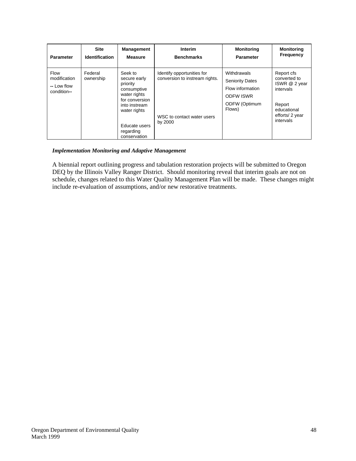| <b>Parameter</b>                                          | <b>Site</b>           | <b>Management</b>                                                                                                                                                   | Interim                                                                                               | <b>Monitoring</b>                                                                                        | <b>Monitoring</b>                                                                                                 |
|-----------------------------------------------------------|-----------------------|---------------------------------------------------------------------------------------------------------------------------------------------------------------------|-------------------------------------------------------------------------------------------------------|----------------------------------------------------------------------------------------------------------|-------------------------------------------------------------------------------------------------------------------|
|                                                           | <b>Identification</b> | <b>Measure</b>                                                                                                                                                      | <b>Benchmarks</b>                                                                                     | <b>Parameter</b>                                                                                         | <b>Frequency</b>                                                                                                  |
| <b>Flow</b><br>modification<br>-- Low flow<br>condition-- | Federal<br>ownership  | Seek to<br>secure early<br>priority<br>consumptive<br>water rights<br>for conversion<br>into instream<br>water rights<br>Educate users<br>regarding<br>conservation | Identify opportunities for<br>conversion to instream rights.<br>WSC to contact water users<br>by 2000 | Withdrawals<br><b>Seniority Dates</b><br>Flow information<br><b>ODFW ISWR</b><br>ODFW (Optimum<br>Flows) | Report cfs<br>converted to<br>ISWR @ 2 year<br>intervals<br>Report<br>educational<br>efforts/ 2 year<br>intervals |

#### *Implementation Monitoring and Adaptive Management*

A biennial report outlining progress and tabulation restoration projects will be submitted to Oregon DEQ by the Illinois Valley Ranger District. Should monitoring reveal that interim goals are not on schedule, changes related to this Water Quality Management Plan will be made. These changes might include re-evaluation of assumptions, and/or new restorative treatments.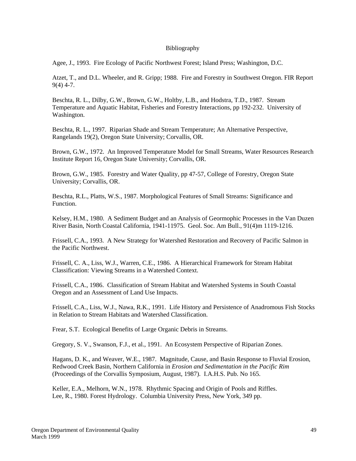#### Bibliography

Agee, J., 1993. Fire Ecology of Pacific Northwest Forest; Island Press; Washington, D.C.

Atzet, T., and D.L. Wheeler, and R. Gripp; 1988. Fire and Forestry in Southwest Oregon. FIR Report 9(4) 4-7.

Beschta, R. L., Dilby, G.W., Brown, G.W., Holtby, L.B., and Hodstra, T.D., 1987. Stream Temperature and Aquatic Habitat, Fisheries and Forestry Interactions, pp 192-232. University of Washington.

Beschta, R. L., 1997. Riparian Shade and Stream Temperature; An Alternative Perspective, Rangelands 19(2), Oregon State University; Corvallis, OR.

Brown, G.W., 1972. An Improved Temperature Model for Small Streams, Water Resources Research Institute Report 16, Oregon State University; Corvallis, OR.

Brown, G.W., 1985. Forestry and Water Quality, pp 47-57, College of Forestry, Oregon State University; Corvallis, OR.

Beschta, R.L., Platts, W.S., 1987. Morphological Features of Small Streams: Significance and Function.

Kelsey, H.M., 1980. A Sediment Budget and an Analysis of Geormophic Processes in the Van Duzen River Basin, North Coastal California, 1941-11975. Geol. Soc. Am Bull., 91(4)m 1119-1216.

Frissell, C.A., 1993. A New Strategy for Watershed Restoration and Recovery of Pacific Salmon in the Pacific Northwest.

Frissell, C. A., Liss, W.J., Warren, C.E., 1986. A Hierarchical Framework for Stream Habitat Classification: Viewing Streams in a Watershed Context.

Frissell, C.A., 1986. Classification of Stream Habitat and Watershed Systems in South Coastal Oregon and an Assessment of Land Use Impacts.

Frissell, C.A., Liss, W.J., Nawa, R.K., 1991. Life History and Persistence of Anadromous Fish Stocks in Relation to Stream Habitats and Watershed Classification.

Frear, S.T. Ecological Benefits of Large Organic Debris in Streams.

Gregory, S. V., Swanson, F.J., et al., 1991. An Ecosystem Perspective of Riparian Zones.

Hagans, D. K., and Weaver, W.E., 1987. Magnitude, Cause, and Basin Response to Fluvial Erosion, Redwood Creek Basin, Northern California in *Erosion and Sedimentation in the Pacific Rim*  (Proceedings of the Corvallis Symposium, August, 1987). I.A.H.S. Pub. No 165.

Keller, E.A., Melhorn, W.N., 1978. Rhythmic Spacing and Origin of Pools and Riffles. Lee, R., 1980. Forest Hydrology. Columbia University Press, New York, 349 pp.